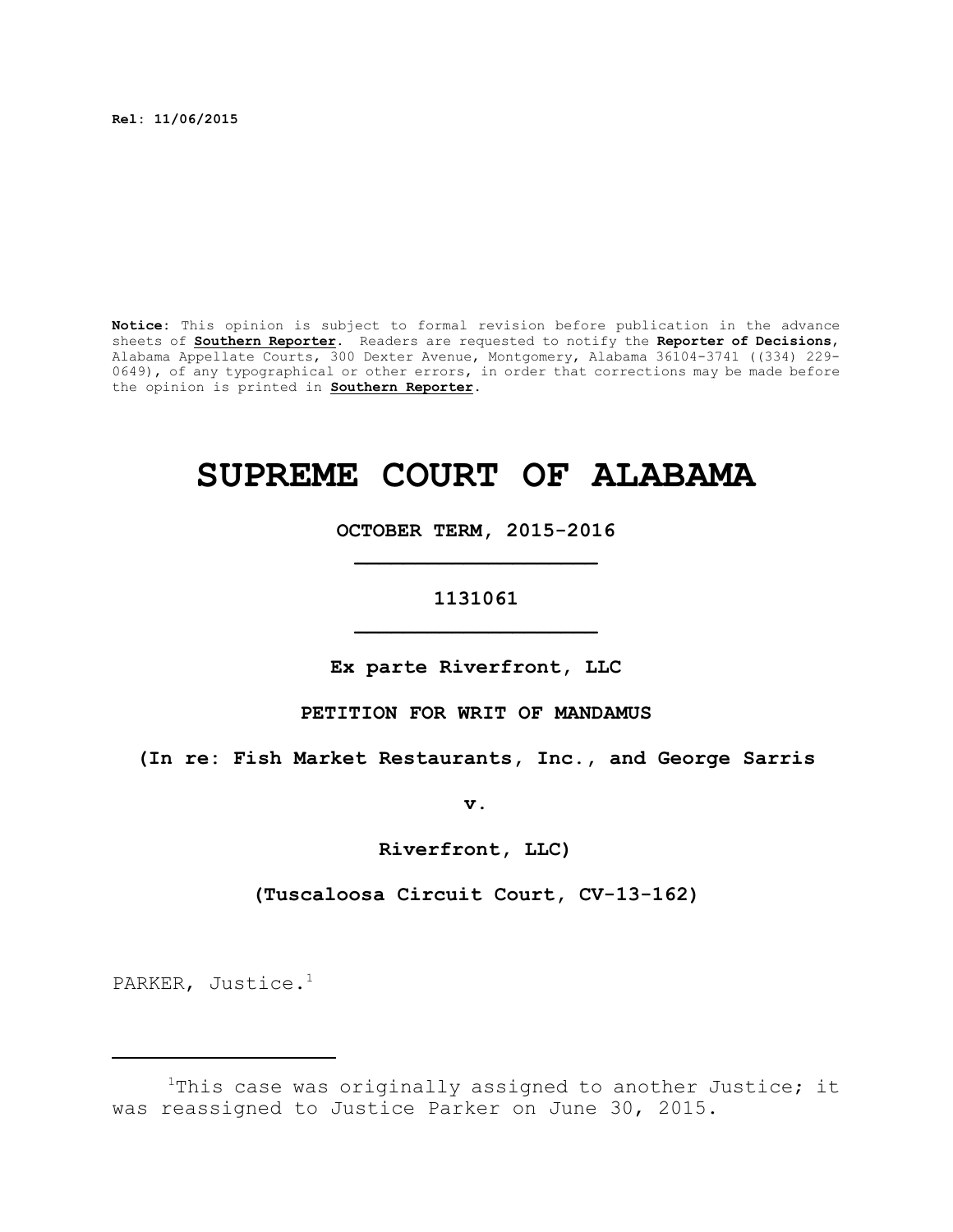**Rel: 11/06/2015**

**Notice:** This opinion is subject to formal revision before publication in the advance sheets of **Southern Reporter**. Readers are requested to notify the **Reporter of Decisions**, Alabama Appellate Courts, 300 Dexter Avenue, Montgomery, Alabama 36104-3741 ((334) 229- 0649), of any typographical or other errors, in order that corrections may be made before the opinion is printed in **Southern Reporter**.

# **SUPREME COURT OF ALABAMA**

**OCTOBER TERM, 2015-2016 \_\_\_\_\_\_\_\_\_\_\_\_\_\_\_\_\_\_\_\_**

# **1131061 \_\_\_\_\_\_\_\_\_\_\_\_\_\_\_\_\_\_\_\_**

**Ex parte Riverfront, LLC**

### **PETITION FOR WRIT OF MANDAMUS**

**(In re: Fish Market Restaurants, Inc., and George Sarris**

**v.**

**Riverfront, LLC)**

**(Tuscaloosa Circuit Court, CV-13-162)**

PARKER, Justice. 1

 $1$ This case was originally assigned to another Justice; it was reassigned to Justice Parker on June 30, 2015.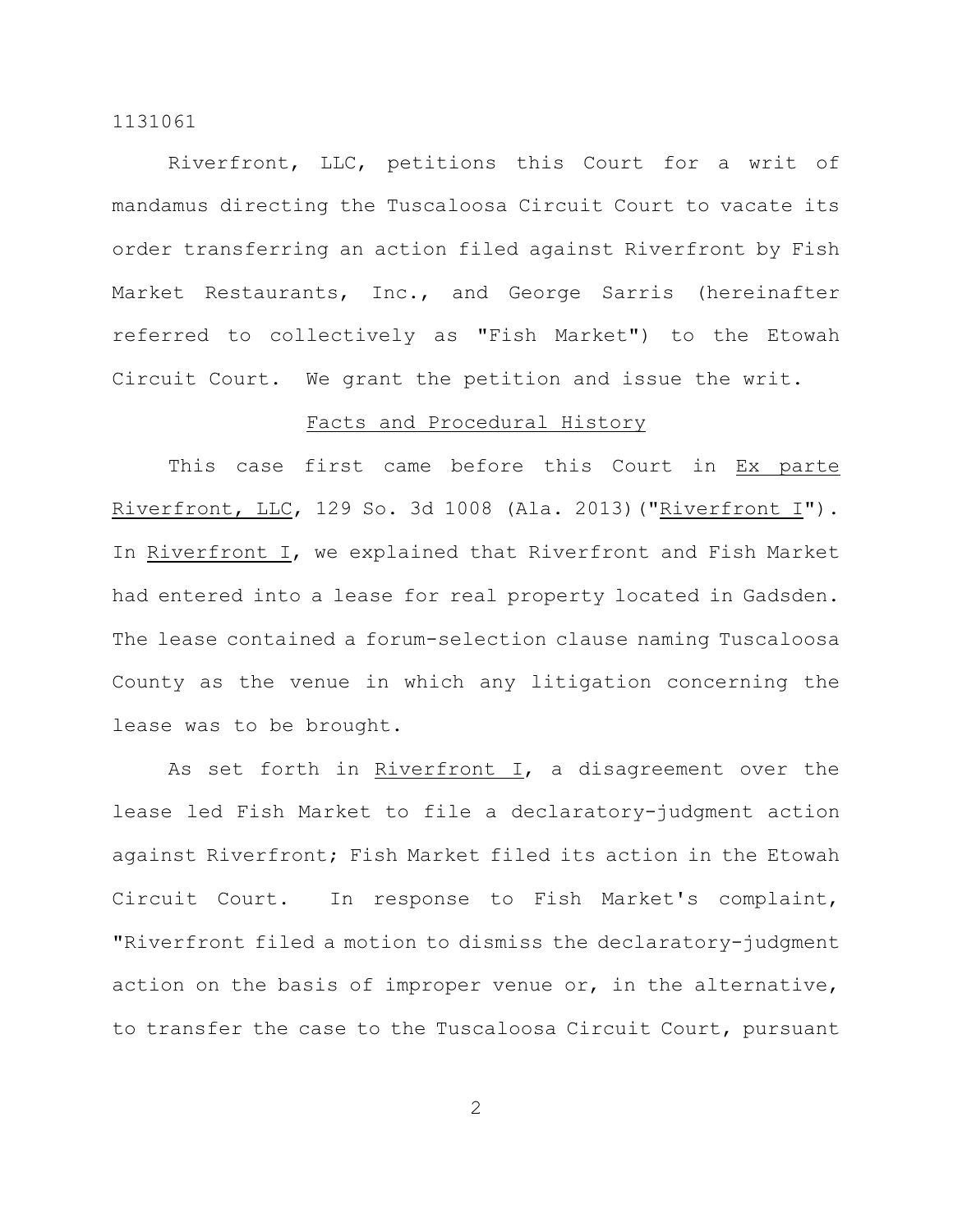Riverfront, LLC, petitions this Court for a writ of mandamus directing the Tuscaloosa Circuit Court to vacate its order transferring an action filed against Riverfront by Fish Market Restaurants, Inc., and George Sarris (hereinafter referred to collectively as "Fish Market") to the Etowah Circuit Court. We grant the petition and issue the writ.

## Facts and Procedural History

This case first came before this Court in Ex parte Riverfront, LLC, 129 So. 3d 1008 (Ala. 2013)("Riverfront I"). In Riverfront I, we explained that Riverfront and Fish Market had entered into a lease for real property located in Gadsden. The lease contained a forum-selection clause naming Tuscaloosa County as the venue in which any litigation concerning the lease was to be brought.

As set forth in Riverfront I, a disagreement over the lease led Fish Market to file a declaratory-judgment action against Riverfront; Fish Market filed its action in the Etowah Circuit Court. In response to Fish Market's complaint, "Riverfront filed a motion to dismiss the declaratory-judgment action on the basis of improper venue or, in the alternative, to transfer the case to the Tuscaloosa Circuit Court, pursuant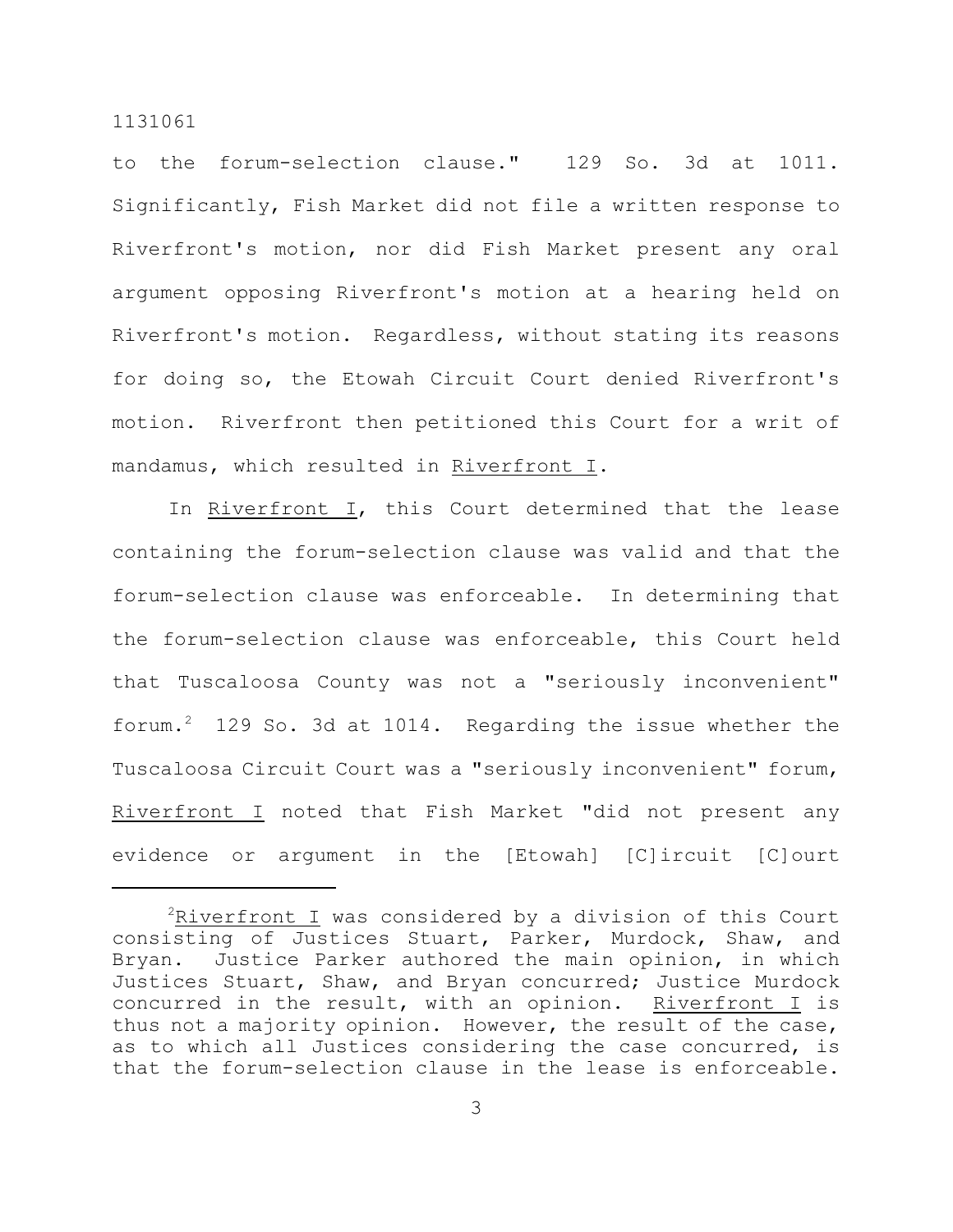to the forum-selection clause." 129 So. 3d at 1011. Significantly, Fish Market did not file a written response to Riverfront's motion, nor did Fish Market present any oral argument opposing Riverfront's motion at a hearing held on Riverfront's motion. Regardless, without stating its reasons for doing so, the Etowah Circuit Court denied Riverfront's motion. Riverfront then petitioned this Court for a writ of mandamus, which resulted in Riverfront I.

In Riverfront I, this Court determined that the lease containing the forum-selection clause was valid and that the forum-selection clause was enforceable. In determining that the forum-selection clause was enforceable, this Court held that Tuscaloosa County was not a "seriously inconvenient" forum.<sup>2</sup> 129 So. 3d at 1014. Regarding the issue whether the Tuscaloosa Circuit Court was a "seriously inconvenient" forum, Riverfront I noted that Fish Market "did not present any evidence or argument in the [Etowah] [C]ircuit [C]ourt

 $2Riverfront$  I was considered by a division of this Court consisting of Justices Stuart, Parker, Murdock, Shaw, and Bryan. Justice Parker authored the main opinion, in which Justices Stuart, Shaw, and Bryan concurred; Justice Murdock concurred in the result, with an opinion. Riverfront I is thus not a majority opinion. However, the result of the case, as to which all Justices considering the case concurred, is that the forum-selection clause in the lease is enforceable.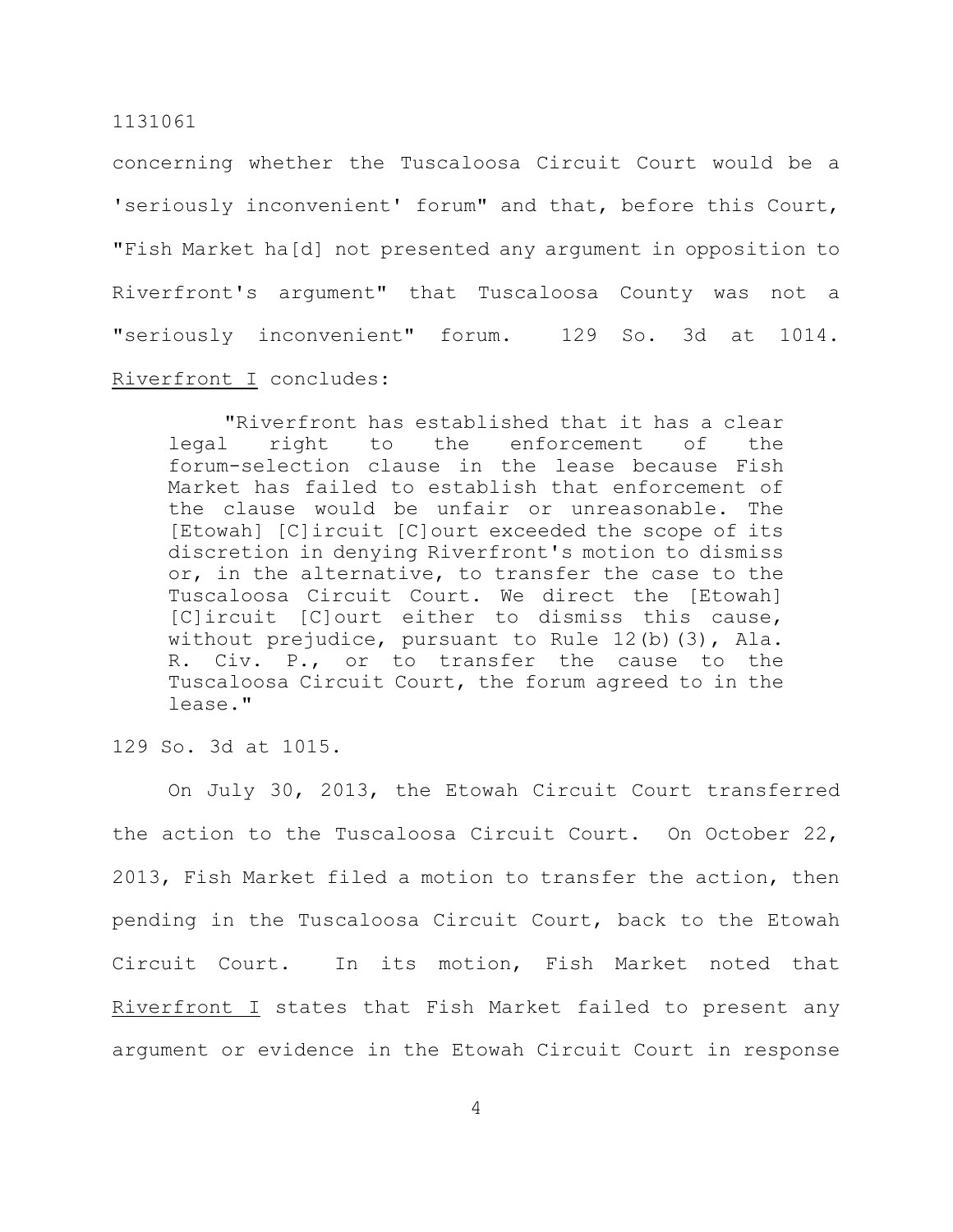concerning whether the Tuscaloosa Circuit Court would be a 'seriously inconvenient' forum" and that, before this Court, "Fish Market ha[d] not presented any argument in opposition to Riverfront's argument" that Tuscaloosa County was not a "seriously inconvenient" forum. 129 So. 3d at 1014. Riverfront I concludes:

"Riverfront has established that it has a clear legal right to the enforcement of the forum-selection clause in the lease because Fish Market has failed to establish that enforcement of the clause would be unfair or unreasonable. The [Etowah] [C]ircuit [C]ourt exceeded the scope of its discretion in denying Riverfront's motion to dismiss or, in the alternative, to transfer the case to the Tuscaloosa Circuit Court. We direct the [Etowah] [C]ircuit [C]ourt either to dismiss this cause, without prejudice, pursuant to Rule 12(b)(3), Ala. R. Civ. P., or to transfer the cause to the Tuscaloosa Circuit Court, the forum agreed to in the lease."

129 So. 3d at 1015.

On July 30, 2013, the Etowah Circuit Court transferred the action to the Tuscaloosa Circuit Court. On October 22, 2013, Fish Market filed a motion to transfer the action, then pending in the Tuscaloosa Circuit Court, back to the Etowah Circuit Court. In its motion, Fish Market noted that Riverfront I states that Fish Market failed to present any argument or evidence in the Etowah Circuit Court in response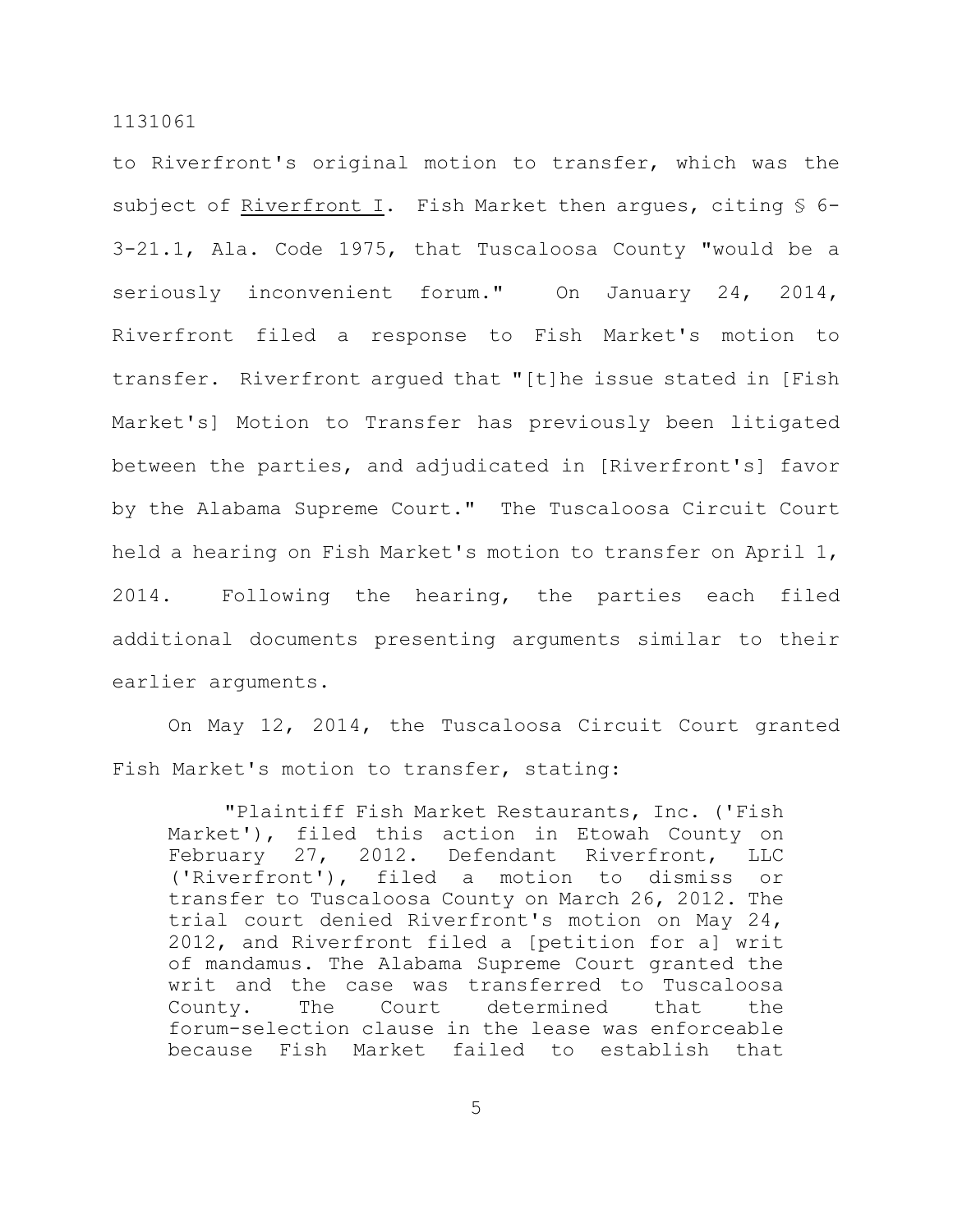to Riverfront's original motion to transfer, which was the subject of Riverfront I. Fish Market then arques, citing § 6-3-21.1, Ala. Code 1975, that Tuscaloosa County "would be a seriously inconvenient forum." On January 24, 2014, Riverfront filed a response to Fish Market's motion to transfer. Riverfront argued that "[t]he issue stated in [Fish Market's] Motion to Transfer has previously been litigated between the parties, and adjudicated in [Riverfront's] favor by the Alabama Supreme Court." The Tuscaloosa Circuit Court held a hearing on Fish Market's motion to transfer on April 1, 2014. Following the hearing, the parties each filed additional documents presenting arguments similar to their earlier arguments.

On May 12, 2014, the Tuscaloosa Circuit Court granted Fish Market's motion to transfer, stating:

"Plaintiff Fish Market Restaurants, Inc. ('Fish Market'), filed this action in Etowah County on February 27, 2012. Defendant Riverfront, LLC ('Riverfront'), filed a motion to dismiss or transfer to Tuscaloosa County on March 26, 2012. The trial court denied Riverfront's motion on May 24, 2012, and Riverfront filed a [petition for a] writ of mandamus. The Alabama Supreme Court granted the writ and the case was transferred to Tuscaloosa County. The Court determined that the forum-selection clause in the lease was enforceable because Fish Market failed to establish that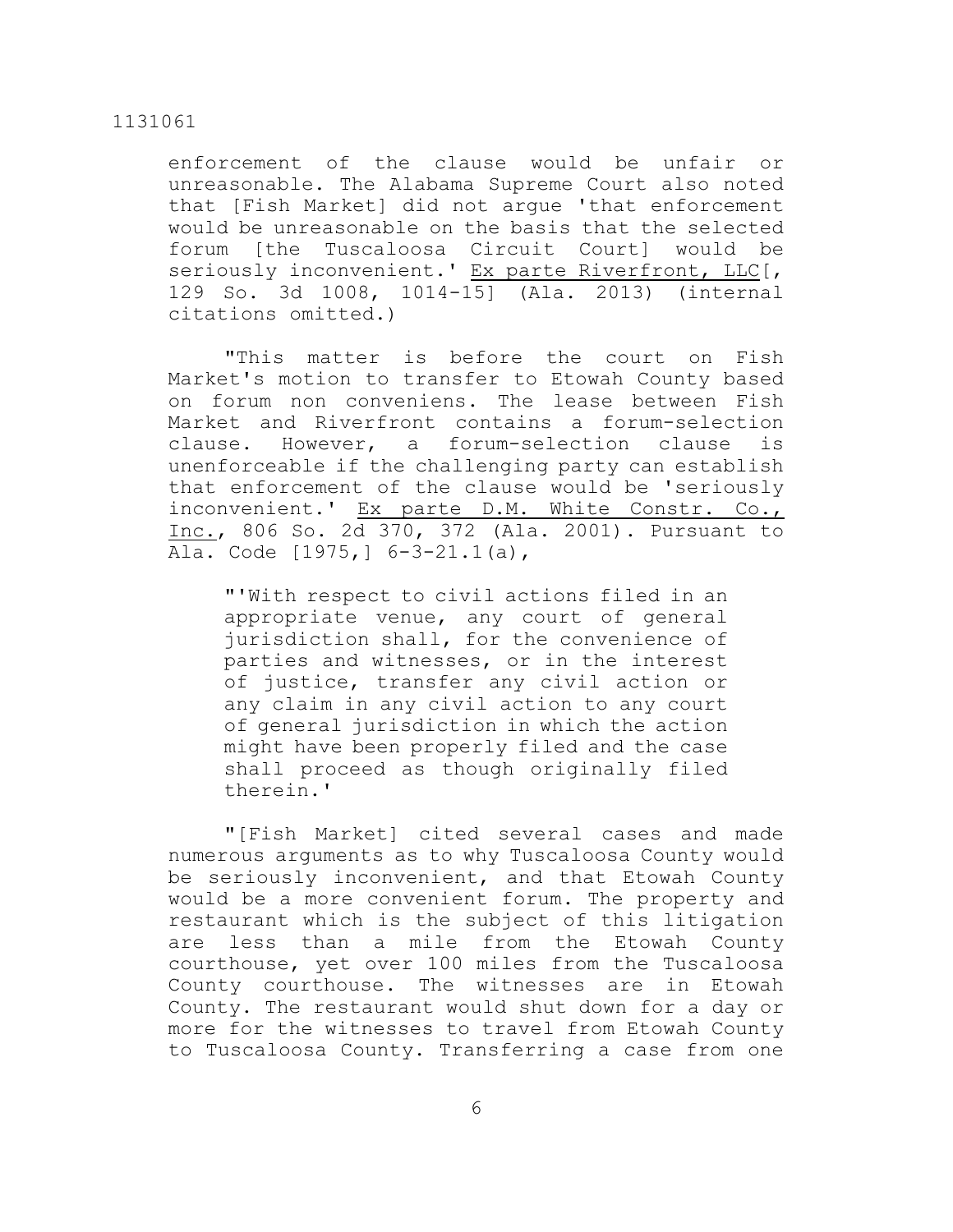enforcement of the clause would be unfair or unreasonable. The Alabama Supreme Court also noted that [Fish Market] did not argue 'that enforcement would be unreasonable on the basis that the selected forum [the Tuscaloosa Circuit Court] would be seriously inconvenient.' Ex parte Riverfront, LLC[, 129 So. 3d 1008, 1014-15] (Ala. 2013) (internal citations omitted.)

"This matter is before the court on Fish Market's motion to transfer to Etowah County based on forum non conveniens. The lease between Fish Market and Riverfront contains a forum-selection clause. However, a forum-selection clause is unenforceable if the challenging party can establish that enforcement of the clause would be 'seriously inconvenient.' Ex parte D.M. White Constr. Co., Inc., 806 So. 2d 370, 372 (Ala. 2001). Pursuant to Ala. Code [1975,] 6-3-21.1(a),

"'With respect to civil actions filed in an appropriate venue, any court of general jurisdiction shall, for the convenience of parties and witnesses, or in the interest of justice, transfer any civil action or any claim in any civil action to any court of general jurisdiction in which the action might have been properly filed and the case shall proceed as though originally filed therein.'

"[Fish Market] cited several cases and made numerous arguments as to why Tuscaloosa County would be seriously inconvenient, and that Etowah County would be a more convenient forum. The property and restaurant which is the subject of this litigation are less than a mile from the Etowah County courthouse, yet over 100 miles from the Tuscaloosa County courthouse. The witnesses are in Etowah County. The restaurant would shut down for a day or more for the witnesses to travel from Etowah County to Tuscaloosa County. Transferring a case from one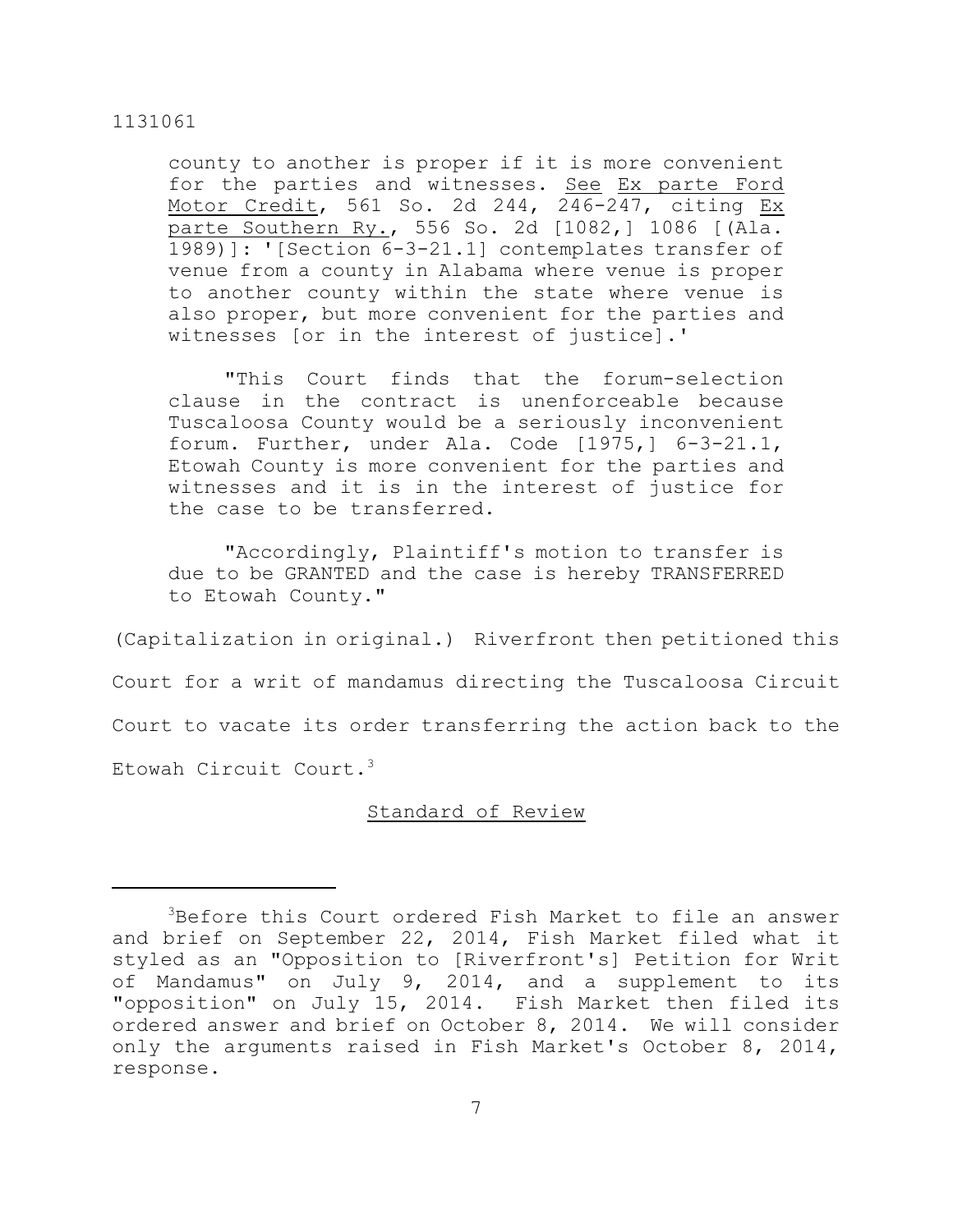county to another is proper if it is more convenient for the parties and witnesses. See Ex parte Ford Motor Credit, 561 So. 2d 244, 246-247, citing Ex parte Southern Ry., 556 So. 2d [1082,] 1086 [(Ala. 1989)]: '[Section 6-3-21.1] contemplates transfer of venue from a county in Alabama where venue is proper to another county within the state where venue is also proper, but more convenient for the parties and witnesses [or in the interest of justice].'

"This Court finds that the forum-selection clause in the contract is unenforceable because Tuscaloosa County would be a seriously inconvenient forum. Further, under Ala. Code [1975,] 6-3-21.1, Etowah County is more convenient for the parties and witnesses and it is in the interest of justice for the case to be transferred.

"Accordingly, Plaintiff's motion to transfer is due to be GRANTED and the case is hereby TRANSFERRED to Etowah County."

(Capitalization in original.) Riverfront then petitioned this Court for a writ of mandamus directing the Tuscaloosa Circuit Court to vacate its order transferring the action back to the Etowah Circuit Court. 3

## Standard of Review

 $3$ Before this Court ordered Fish Market to file an answer and brief on September 22, 2014, Fish Market filed what it styled as an "Opposition to [Riverfront's] Petition for Writ of Mandamus" on July 9, 2014, and a supplement to its "opposition" on July 15, 2014. Fish Market then filed its ordered answer and brief on October 8, 2014. We will consider only the arguments raised in Fish Market's October 8, 2014, response.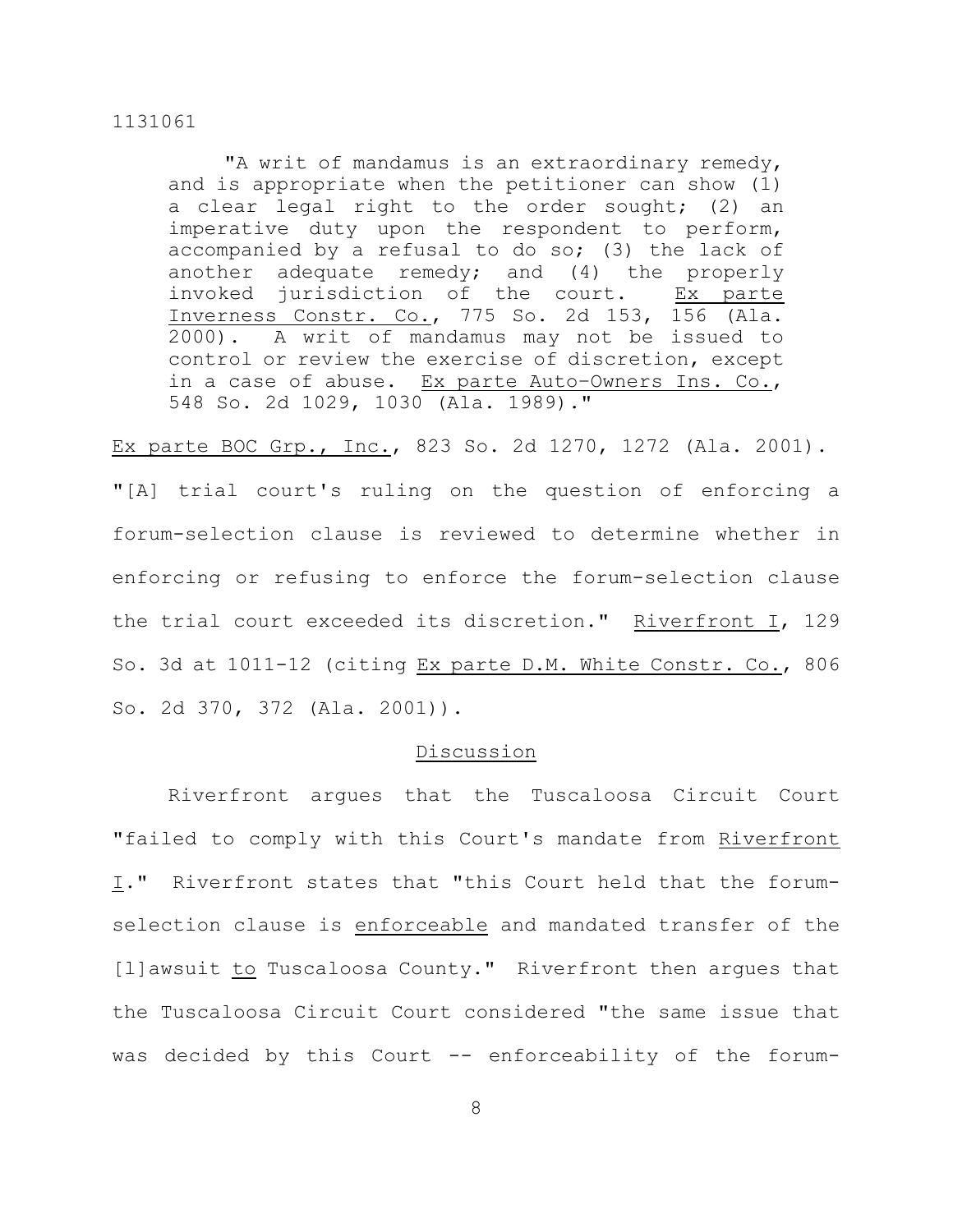"A writ of mandamus is an extraordinary remedy, and is appropriate when the petitioner can show (1) a clear legal right to the order sought; (2) an imperative duty upon the respondent to perform, accompanied by a refusal to do so; (3) the lack of another adequate remedy; and (4) the properly invoked jurisdiction of the court. Ex parte Inverness Constr. Co., 775 So. 2d 153, 156 (Ala. 2000). A writ of mandamus may not be issued to control or review the exercise of discretion, except in a case of abuse. Ex parte Auto–Owners Ins. Co., 548 So. 2d 1029, 1030 (Ala. 1989)."

Ex parte BOC Grp., Inc., 823 So. 2d 1270, 1272 (Ala. 2001).

"[A] trial court's ruling on the question of enforcing a forum-selection clause is reviewed to determine whether in enforcing or refusing to enforce the forum-selection clause the trial court exceeded its discretion." Riverfront I, 129 So. 3d at 1011-12 (citing Ex parte D.M. White Constr. Co., 806 So. 2d 370, 372 (Ala. 2001)).

## Discussion

Riverfront argues that the Tuscaloosa Circuit Court "failed to comply with this Court's mandate from Riverfront I." Riverfront states that "this Court held that the forumselection clause is enforceable and mandated transfer of the [l]awsuit to Tuscaloosa County." Riverfront then arques that the Tuscaloosa Circuit Court considered "the same issue that was decided by this Court -- enforceability of the forum-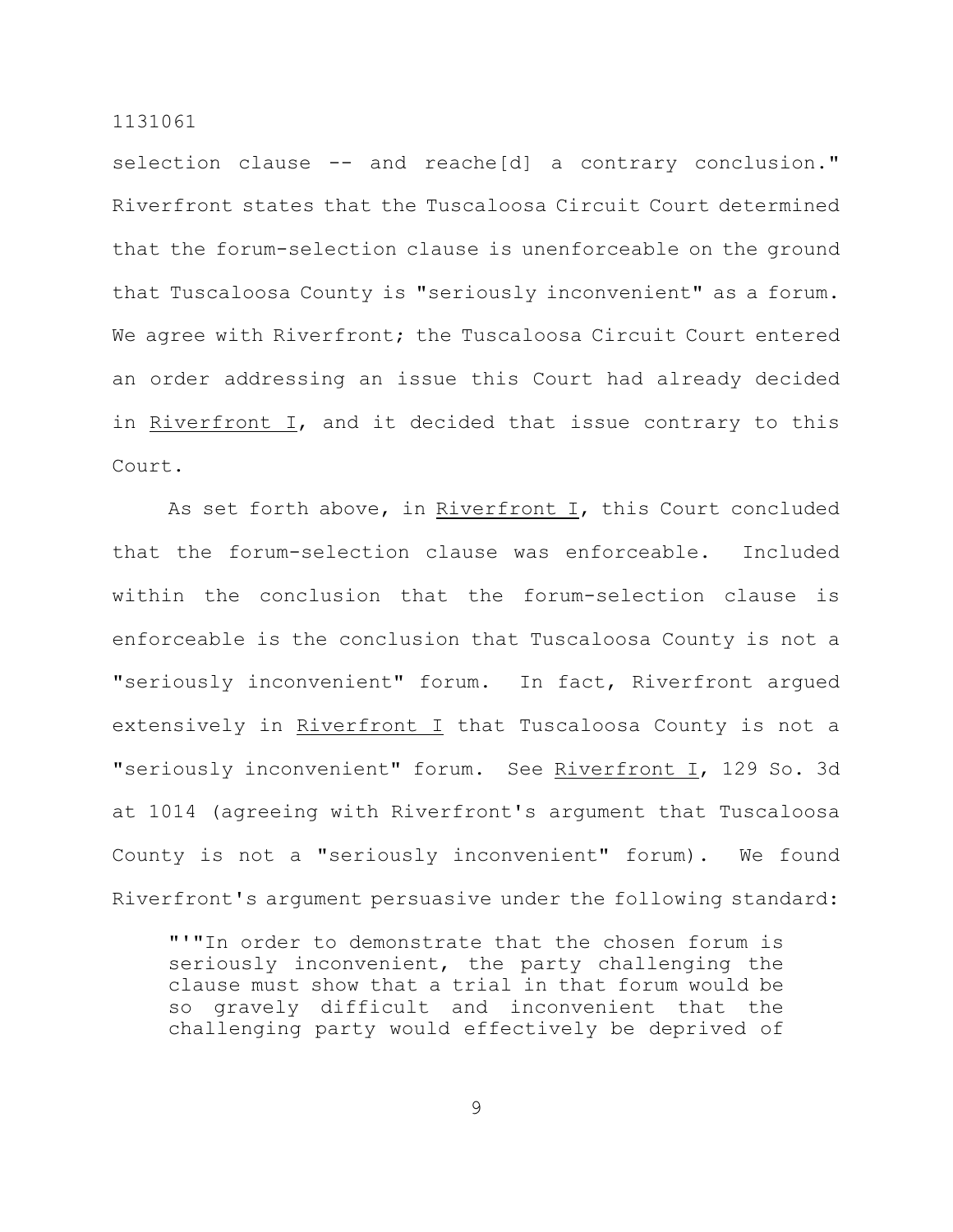selection clause -- and reache[d] a contrary conclusion." Riverfront states that the Tuscaloosa Circuit Court determined that the forum-selection clause is unenforceable on the ground that Tuscaloosa County is "seriously inconvenient" as a forum. We agree with Riverfront; the Tuscaloosa Circuit Court entered an order addressing an issue this Court had already decided in Riverfront I, and it decided that issue contrary to this Court.

As set forth above, in Riverfront I, this Court concluded that the forum-selection clause was enforceable. Included within the conclusion that the forum-selection clause is enforceable is the conclusion that Tuscaloosa County is not a "seriously inconvenient" forum. In fact, Riverfront argued extensively in Riverfront I that Tuscaloosa County is not a "seriously inconvenient" forum. See Riverfront I, 129 So. 3d at 1014 (agreeing with Riverfront's argument that Tuscaloosa County is not a "seriously inconvenient" forum). We found Riverfront's argument persuasive under the following standard:

"'"In order to demonstrate that the chosen forum is seriously inconvenient, the party challenging the clause must show that a trial in that forum would be so gravely difficult and inconvenient that the challenging party would effectively be deprived of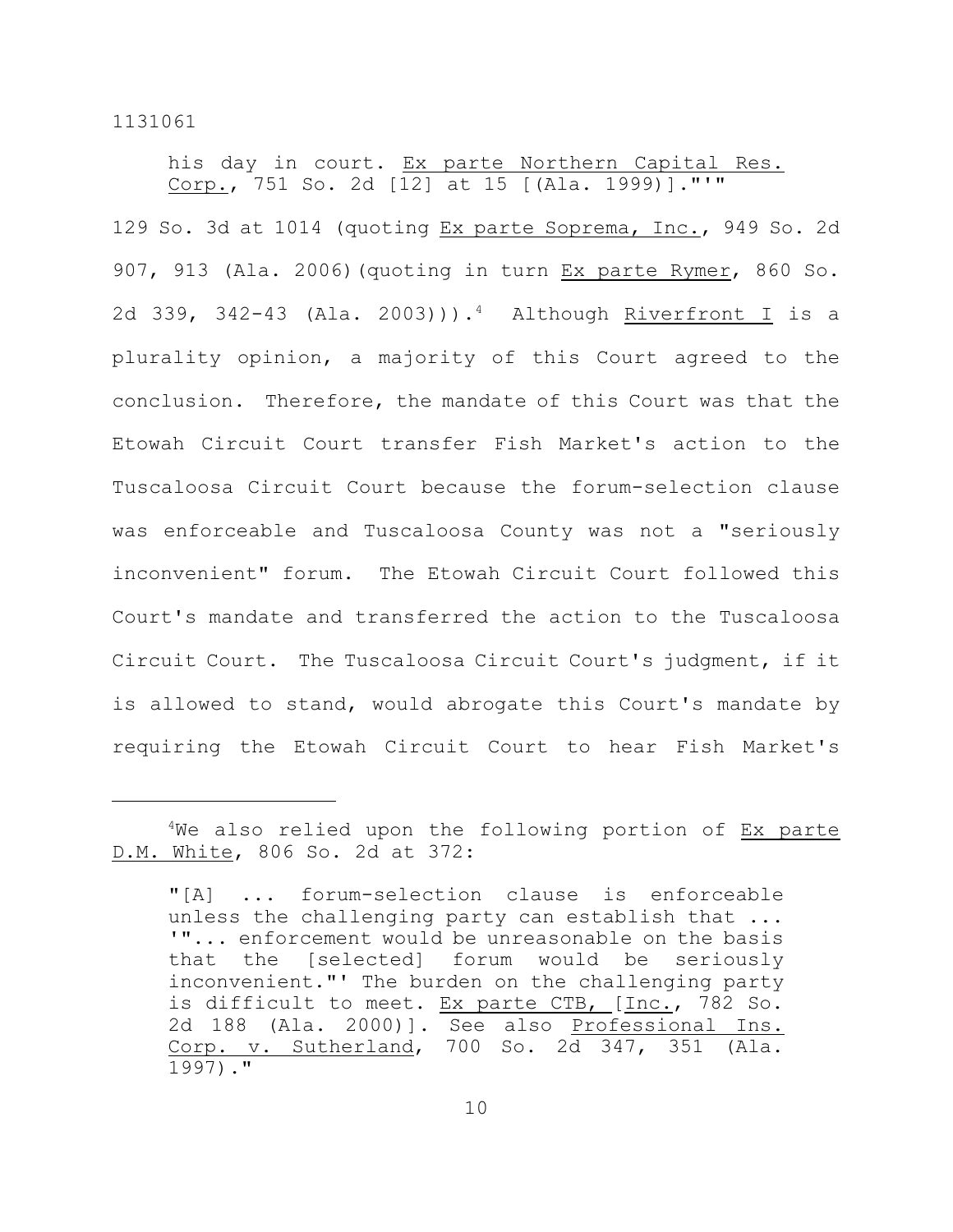his day in court. Ex parte Northern Capital Res. Corp., 751 So. 2d [12] at 15 [(Ala. 1999)]."'"

129 So. 3d at 1014 (quoting Ex parte Soprema, Inc., 949 So. 2d 907, 913 (Ala. 2006)(quoting in turn Ex parte Rymer, 860 So. 2d 339, 342-43 (Ala. 2003))).<sup>4</sup> Although <u>Riverfront I</u> is a plurality opinion, a majority of this Court agreed to the conclusion. Therefore, the mandate of this Court was that the Etowah Circuit Court transfer Fish Market's action to the Tuscaloosa Circuit Court because the forum-selection clause was enforceable and Tuscaloosa County was not a "seriously inconvenient" forum. The Etowah Circuit Court followed this Court's mandate and transferred the action to the Tuscaloosa Circuit Court. The Tuscaloosa Circuit Court's judgment, if it is allowed to stand, would abrogate this Court's mandate by requiring the Etowah Circuit Court to hear Fish Market's

 $4$ We also relied upon the following portion of Ex parte D.M. White, 806 So. 2d at 372:

<sup>&</sup>quot;[A] ... forum-selection clause is enforceable unless the challenging party can establish that ... '"... enforcement would be unreasonable on the basis that the [selected] forum would be seriously inconvenient."' The burden on the challenging party is difficult to meet. Ex parte CTB, [Inc., 782 So. 2d 188 (Ala. 2000)]. See also Professional Ins. Corp. v. Sutherland, 700 So. 2d 347, 351 (Ala. 1997)."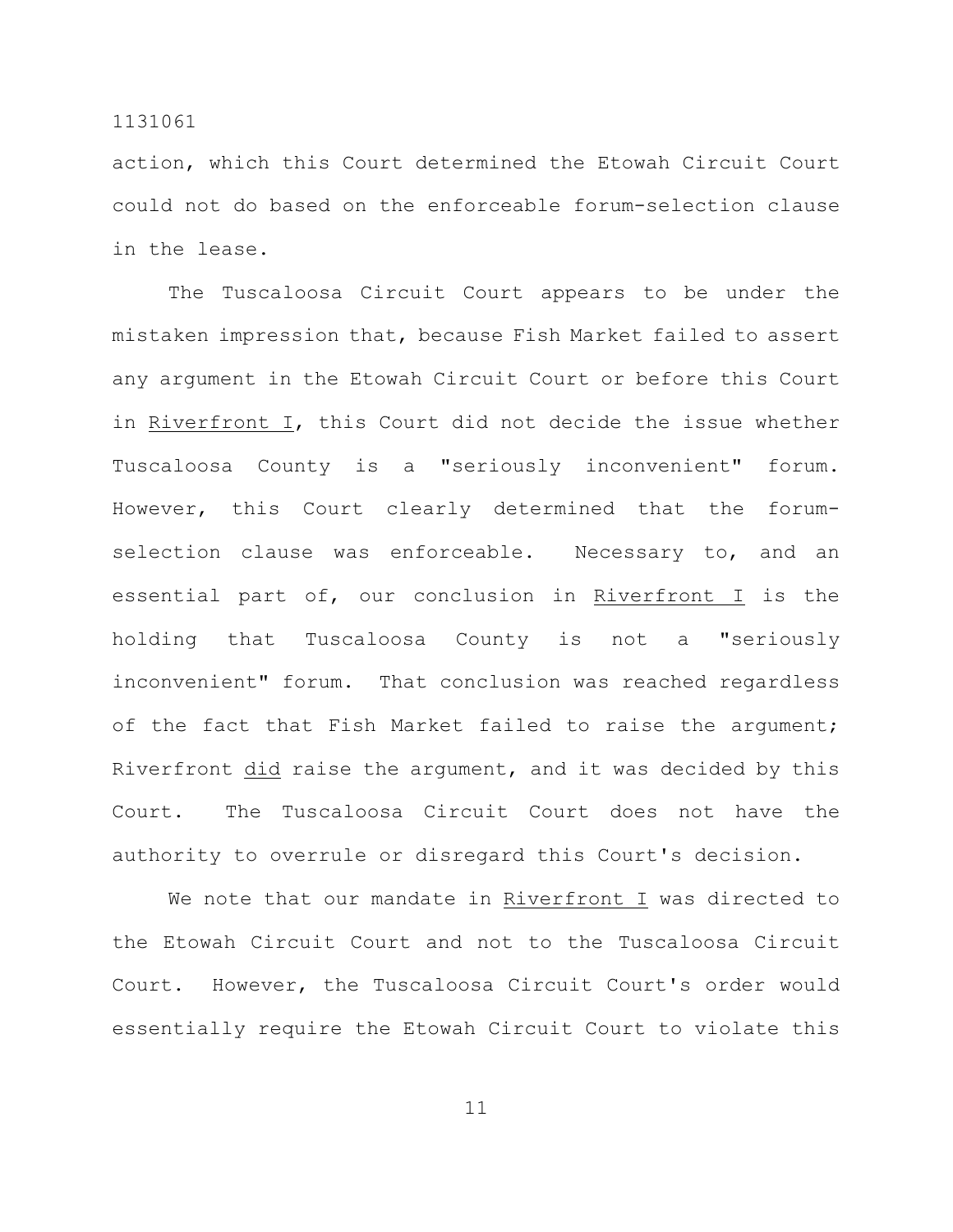action, which this Court determined the Etowah Circuit Court could not do based on the enforceable forum-selection clause in the lease.

The Tuscaloosa Circuit Court appears to be under the mistaken impression that, because Fish Market failed to assert any argument in the Etowah Circuit Court or before this Court in Riverfront I, this Court did not decide the issue whether Tuscaloosa County is a "seriously inconvenient" forum. However, this Court clearly determined that the forumselection clause was enforceable. Necessary to, and an essential part of, our conclusion in Riverfront I is the holding that Tuscaloosa County is not a "seriously inconvenient" forum. That conclusion was reached regardless of the fact that Fish Market failed to raise the argument; Riverfront did raise the argument, and it was decided by this Court. The Tuscaloosa Circuit Court does not have the authority to overrule or disregard this Court's decision.

We note that our mandate in Riverfront I was directed to the Etowah Circuit Court and not to the Tuscaloosa Circuit Court. However, the Tuscaloosa Circuit Court's order would essentially require the Etowah Circuit Court to violate this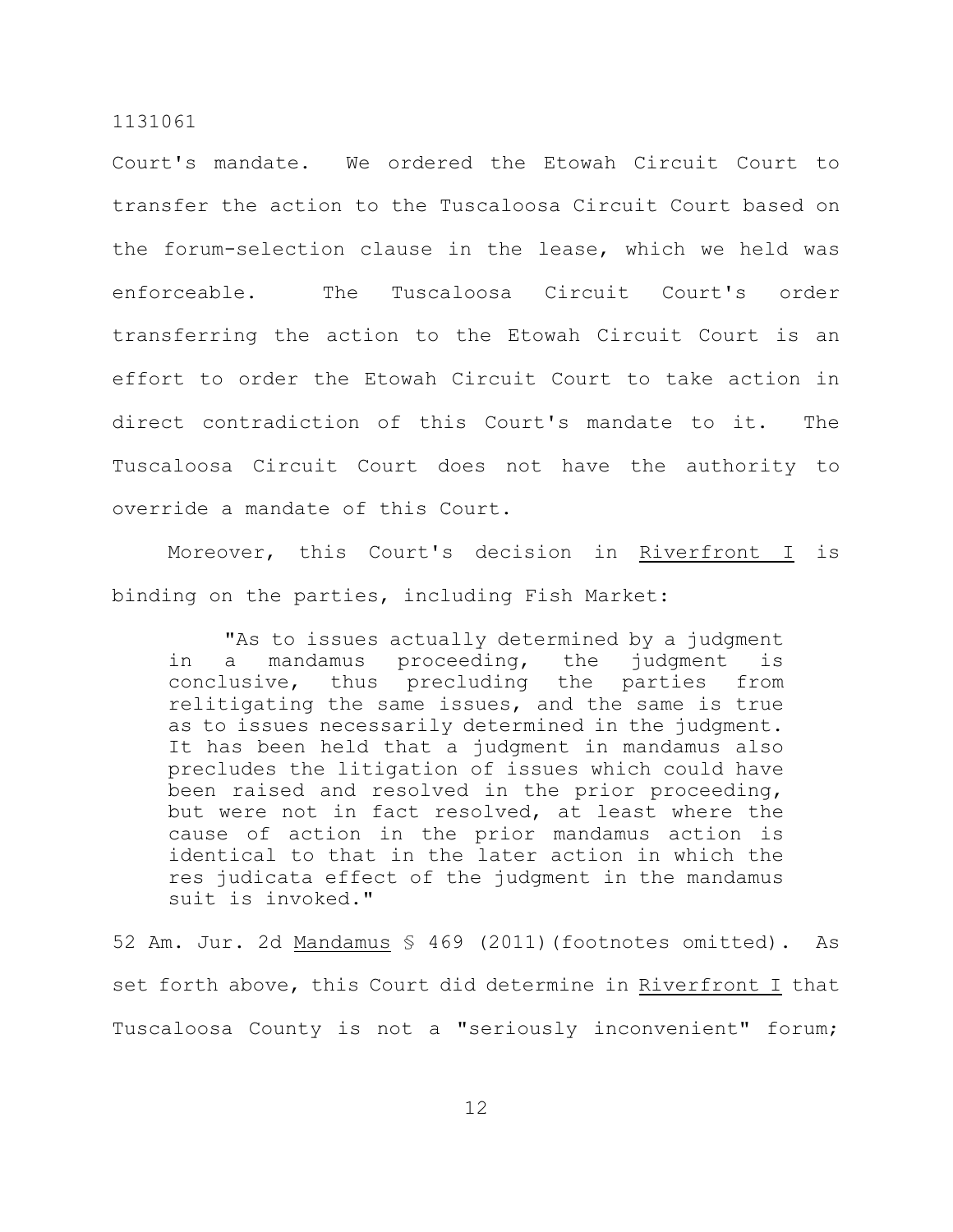Court's mandate. We ordered the Etowah Circuit Court to transfer the action to the Tuscaloosa Circuit Court based on the forum-selection clause in the lease, which we held was enforceable. The Tuscaloosa Circuit Court's order transferring the action to the Etowah Circuit Court is an effort to order the Etowah Circuit Court to take action in direct contradiction of this Court's mandate to it. The Tuscaloosa Circuit Court does not have the authority to override a mandate of this Court.

Moreover, this Court's decision in Riverfront I is binding on the parties, including Fish Market:

"As to issues actually determined by a judgment in a mandamus proceeding, the judgment is conclusive, thus precluding the parties from relitigating the same issues, and the same is true as to issues necessarily determined in the judgment. It has been held that a judgment in mandamus also precludes the litigation of issues which could have been raised and resolved in the prior proceeding, but were not in fact resolved, at least where the cause of action in the prior mandamus action is identical to that in the later action in which the res judicata effect of the judgment in the mandamus suit is invoked."

52 Am. Jur. 2d Mandamus § 469 (2011)(footnotes omitted). As set forth above, this Court did determine in Riverfront I that Tuscaloosa County is not a "seriously inconvenient" forum;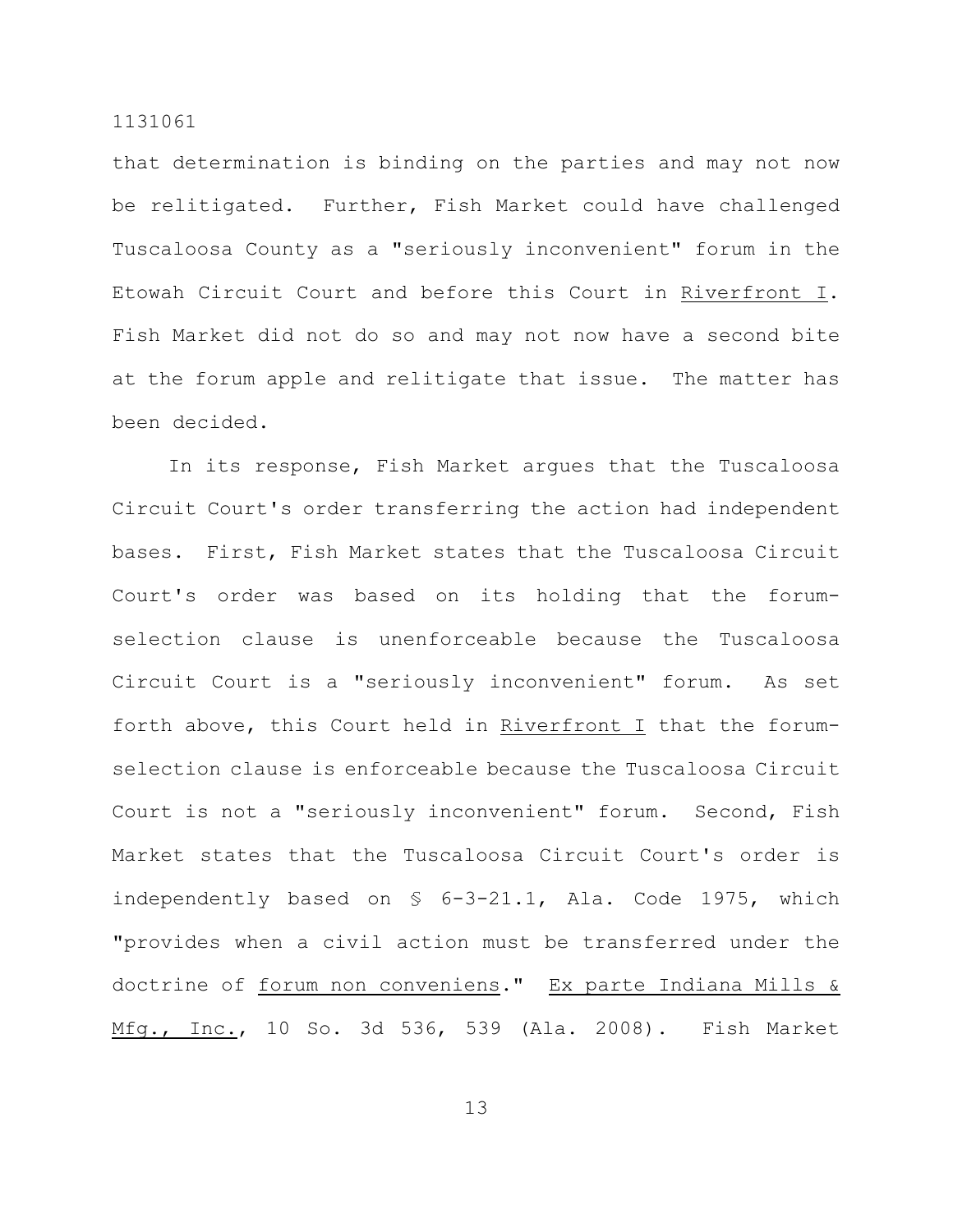that determination is binding on the parties and may not now be relitigated. Further, Fish Market could have challenged Tuscaloosa County as a "seriously inconvenient" forum in the Etowah Circuit Court and before this Court in Riverfront I. Fish Market did not do so and may not now have a second bite at the forum apple and relitigate that issue. The matter has been decided.

In its response, Fish Market argues that the Tuscaloosa Circuit Court's order transferring the action had independent bases. First, Fish Market states that the Tuscaloosa Circuit Court's order was based on its holding that the forumselection clause is unenforceable because the Tuscaloosa Circuit Court is a "seriously inconvenient" forum. As set forth above, this Court held in Riverfront I that the forumselection clause is enforceable because the Tuscaloosa Circuit Court is not a "seriously inconvenient" forum. Second, Fish Market states that the Tuscaloosa Circuit Court's order is independently based on § 6-3-21.1, Ala. Code 1975, which "provides when a civil action must be transferred under the doctrine of forum non conveniens." Ex parte Indiana Mills & Mfg., Inc., 10 So. 3d 536, 539 (Ala. 2008). Fish Market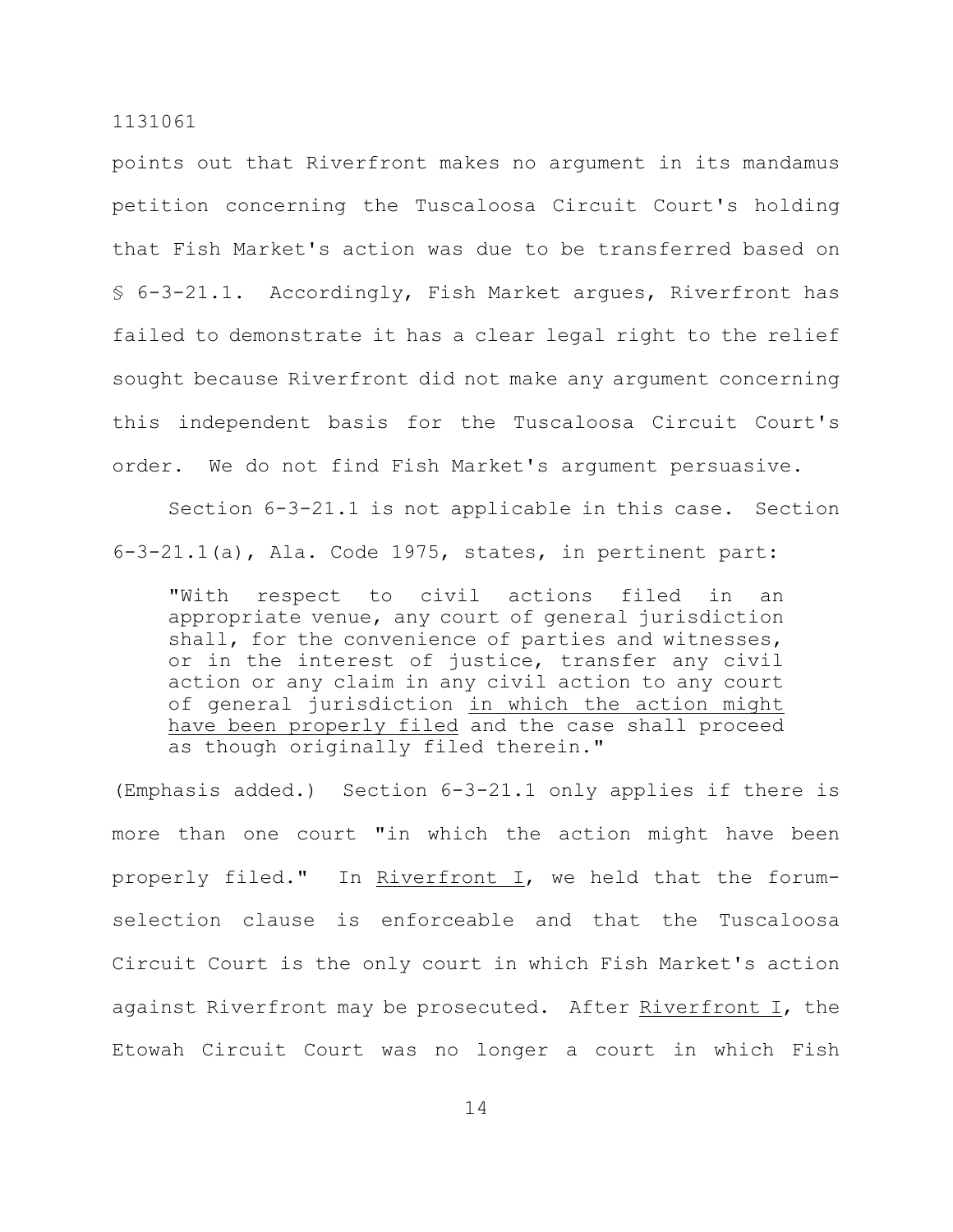points out that Riverfront makes no argument in its mandamus petition concerning the Tuscaloosa Circuit Court's holding that Fish Market's action was due to be transferred based on § 6-3-21.1. Accordingly, Fish Market argues, Riverfront has failed to demonstrate it has a clear legal right to the relief sought because Riverfront did not make any argument concerning this independent basis for the Tuscaloosa Circuit Court's order. We do not find Fish Market's argument persuasive.

Section 6-3-21.1 is not applicable in this case. Section 6-3-21.1(a), Ala. Code 1975, states, in pertinent part:

"With respect to civil actions filed in an appropriate venue, any court of general jurisdiction shall, for the convenience of parties and witnesses, or in the interest of justice, transfer any civil action or any claim in any civil action to any court of general jurisdiction in which the action might have been properly filed and the case shall proceed as though originally filed therein."

(Emphasis added.) Section 6-3-21.1 only applies if there is more than one court "in which the action might have been properly filed." In Riverfront I, we held that the forumselection clause is enforceable and that the Tuscaloosa Circuit Court is the only court in which Fish Market's action against Riverfront may be prosecuted. After Riverfront I, the Etowah Circuit Court was no longer a court in which Fish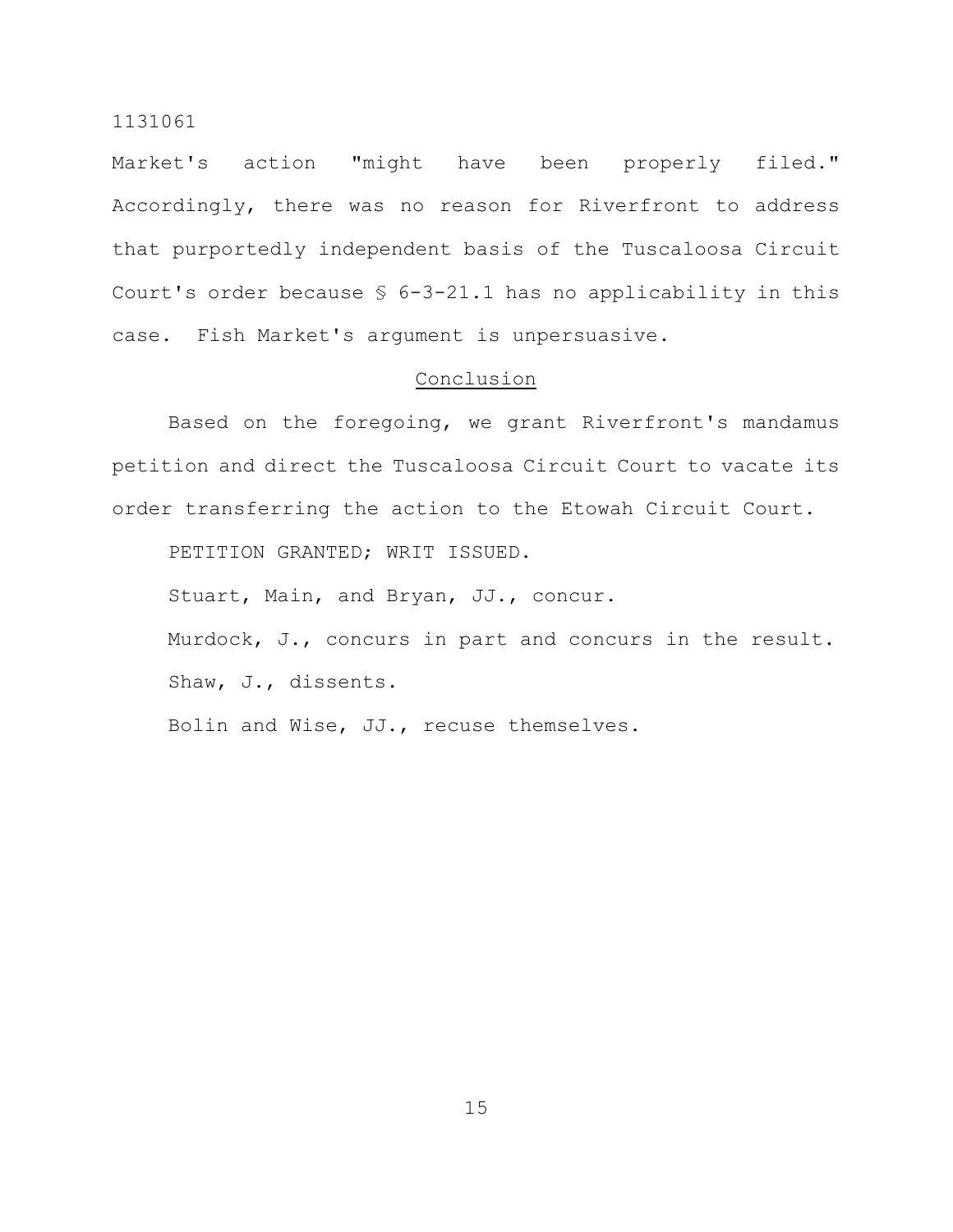Market's action "might have been properly filed." Accordingly, there was no reason for Riverfront to address that purportedly independent basis of the Tuscaloosa Circuit Court's order because § 6-3-21.1 has no applicability in this case. Fish Market's argument is unpersuasive.

## Conclusion

Based on the foregoing, we grant Riverfront's mandamus petition and direct the Tuscaloosa Circuit Court to vacate its order transferring the action to the Etowah Circuit Court.

PETITION GRANTED; WRIT ISSUED.

Stuart, Main, and Bryan, JJ., concur.

Murdock, J., concurs in part and concurs in the result. Shaw, J., dissents.

Bolin and Wise, JJ., recuse themselves.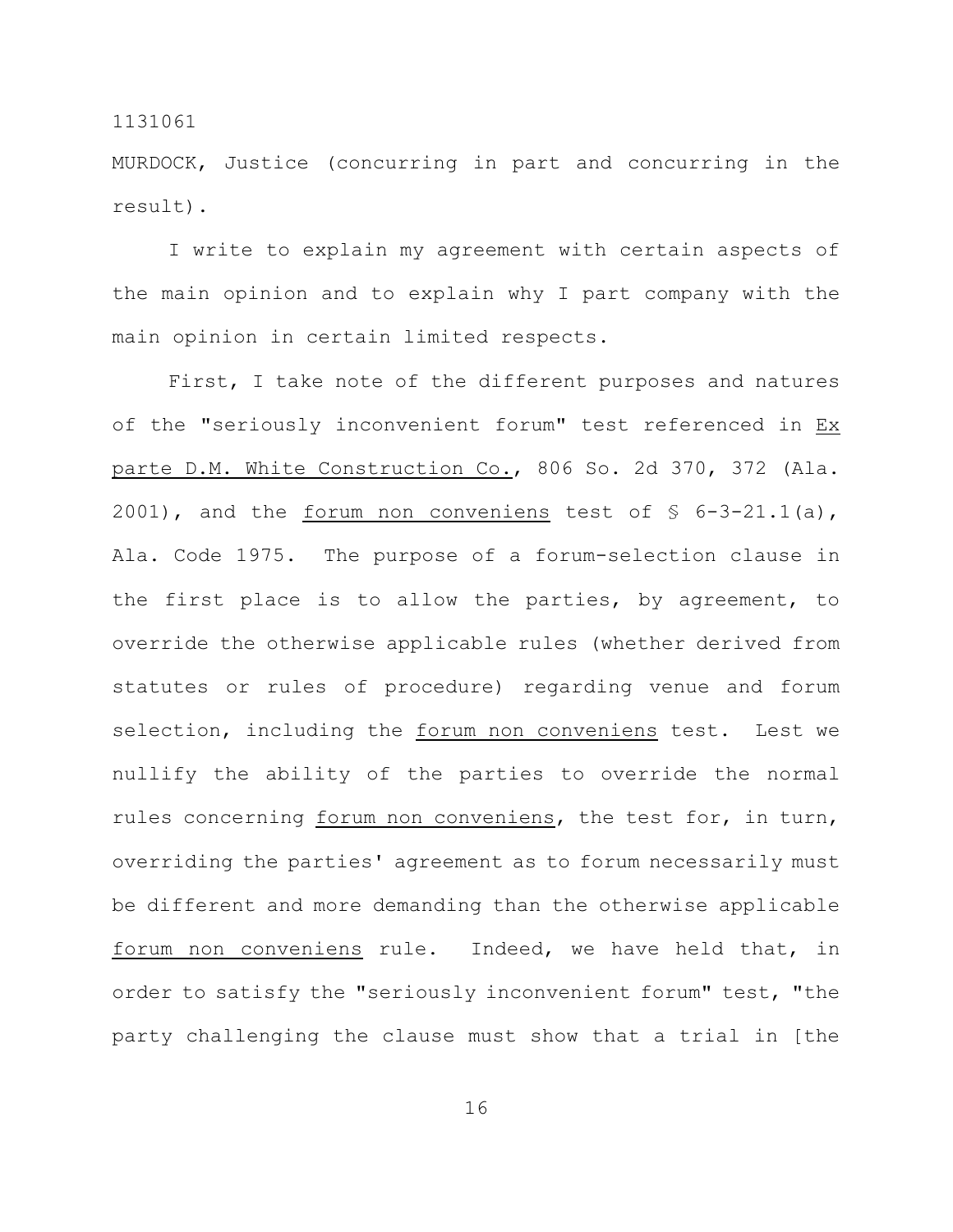MURDOCK, Justice (concurring in part and concurring in the result).

I write to explain my agreement with certain aspects of the main opinion and to explain why I part company with the main opinion in certain limited respects.

First, I take note of the different purposes and natures of the "seriously inconvenient forum" test referenced in Ex parte D.M. White Construction Co., 806 So. 2d 370, 372 (Ala. 2001), and the forum non conveniens test of § 6-3-21.1(a), Ala. Code 1975. The purpose of a forum-selection clause in the first place is to allow the parties, by agreement, to override the otherwise applicable rules (whether derived from statutes or rules of procedure) regarding venue and forum selection, including the forum non conveniens test. Lest we nullify the ability of the parties to override the normal rules concerning forum non conveniens, the test for, in turn, overriding the parties' agreement as to forum necessarily must be different and more demanding than the otherwise applicable forum non conveniens rule. Indeed, we have held that, in order to satisfy the "seriously inconvenient forum" test, "the party challenging the clause must show that a trial in [the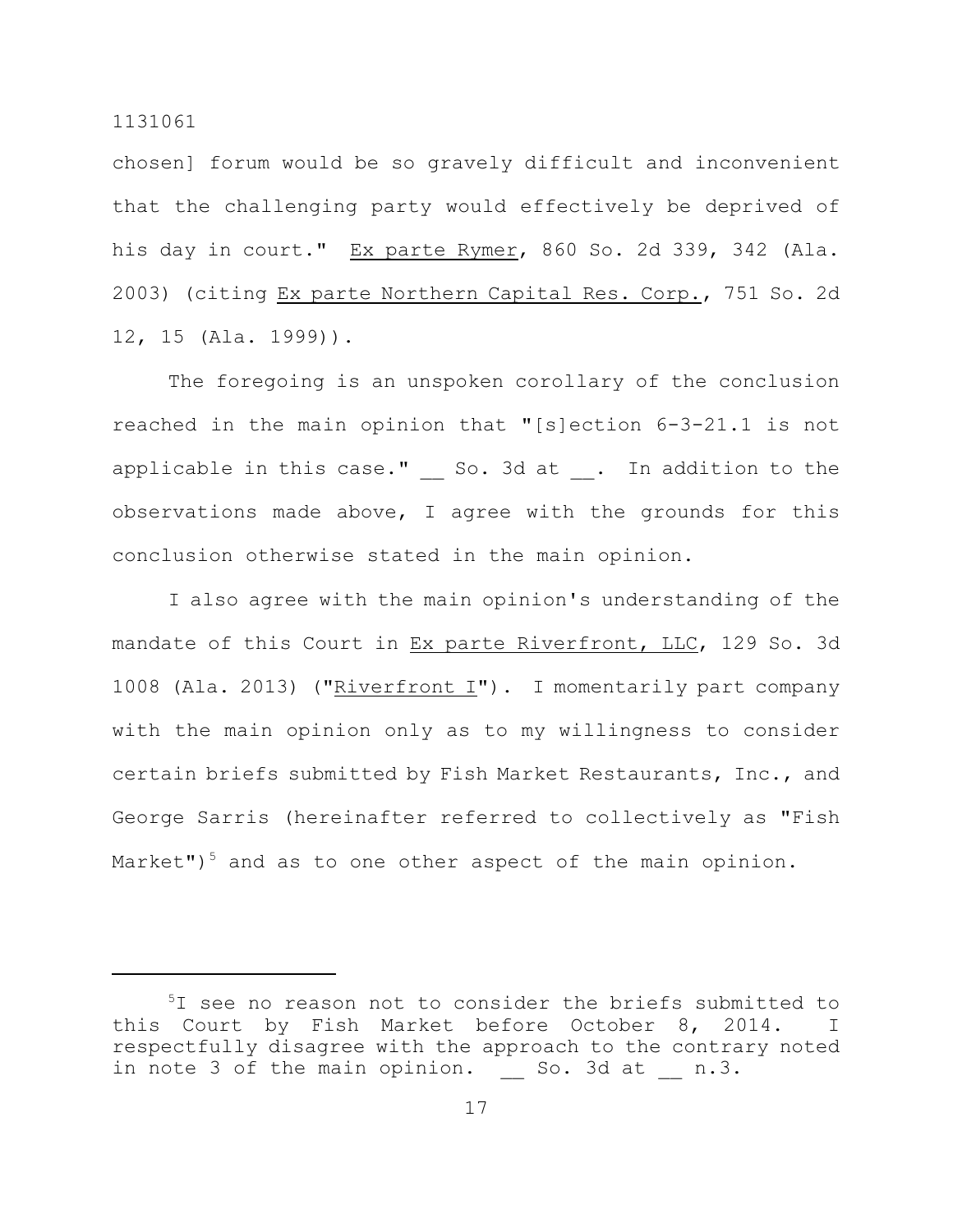chosen] forum would be so gravely difficult and inconvenient that the challenging party would effectively be deprived of his day in court." Ex parte Rymer, 860 So. 2d 339, 342 (Ala. 2003) (citing Ex parte Northern Capital Res. Corp., 751 So. 2d 12, 15 (Ala. 1999)).

The foregoing is an unspoken corollary of the conclusion reached in the main opinion that "[s]ection 6-3-21.1 is not applicable in this case." So. 3d at . In addition to the observations made above, I agree with the grounds for this conclusion otherwise stated in the main opinion.

I also agree with the main opinion's understanding of the mandate of this Court in Ex parte Riverfront, LLC, 129 So. 3d 1008 (Ala. 2013) ("Riverfront I"). I momentarily part company with the main opinion only as to my willingness to consider certain briefs submitted by Fish Market Restaurants, Inc., and George Sarris (hereinafter referred to collectively as "Fish Market")<sup>5</sup> and as to one other aspect of the main opinion.

 $5I$  see no reason not to consider the briefs submitted to this Court by Fish Market before October 8, 2014. I respectfully disagree with the approach to the contrary noted in note 3 of the main opinion. So. 3d at n.3.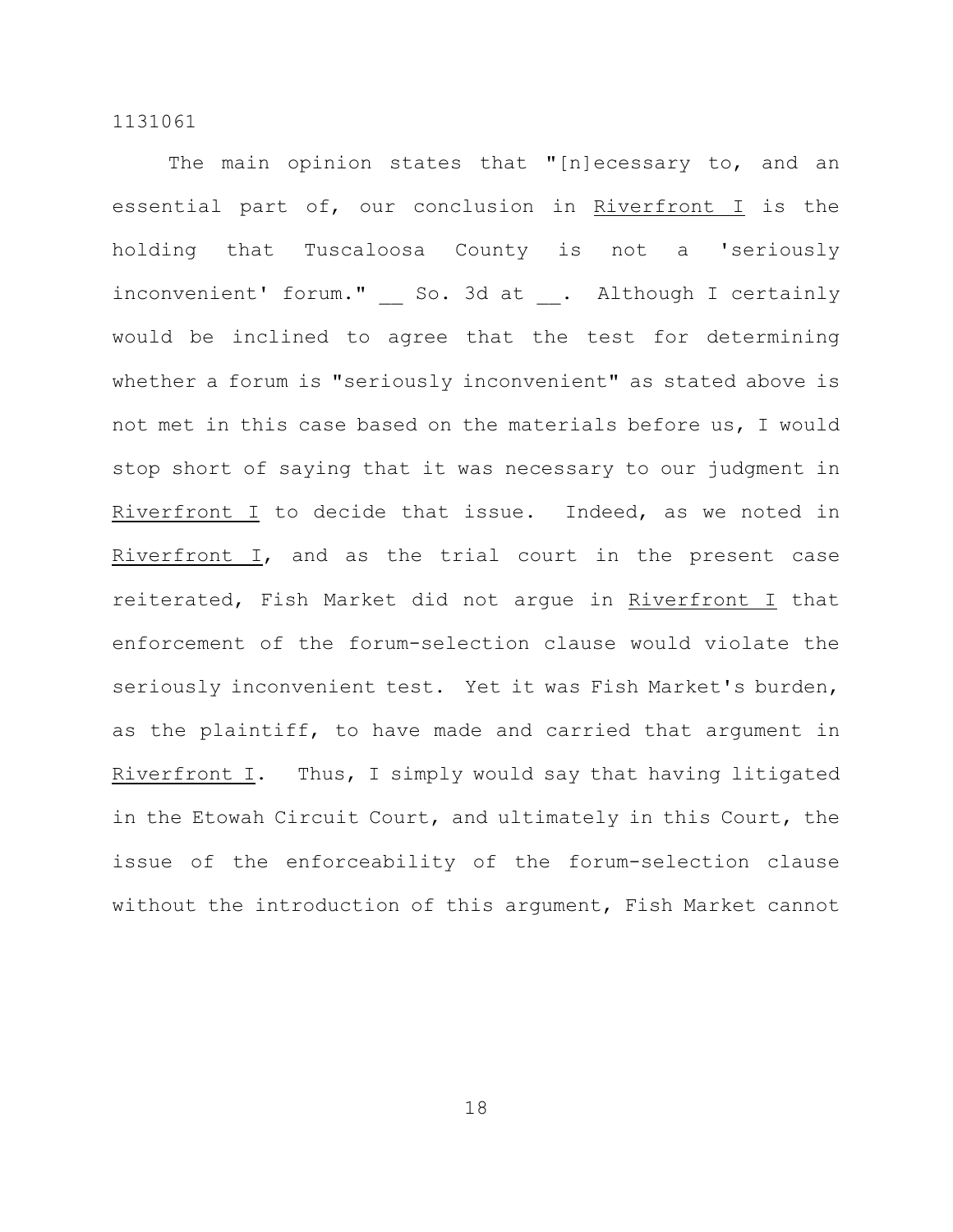The main opinion states that "[n]ecessary to, and an essential part of, our conclusion in Riverfront I is the holding that Tuscaloosa County is not a 'seriously inconvenient' forum." So. 3d at . Although I certainly would be inclined to agree that the test for determining whether a forum is "seriously inconvenient" as stated above is not met in this case based on the materials before us, I would stop short of saying that it was necessary to our judgment in Riverfront I to decide that issue. Indeed, as we noted in Riverfront I, and as the trial court in the present case reiterated, Fish Market did not argue in Riverfront I that enforcement of the forum-selection clause would violate the seriously inconvenient test. Yet it was Fish Market's burden, as the plaintiff, to have made and carried that argument in Riverfront I. Thus, I simply would say that having litigated in the Etowah Circuit Court, and ultimately in this Court, the issue of the enforceability of the forum-selection clause without the introduction of this argument, Fish Market cannot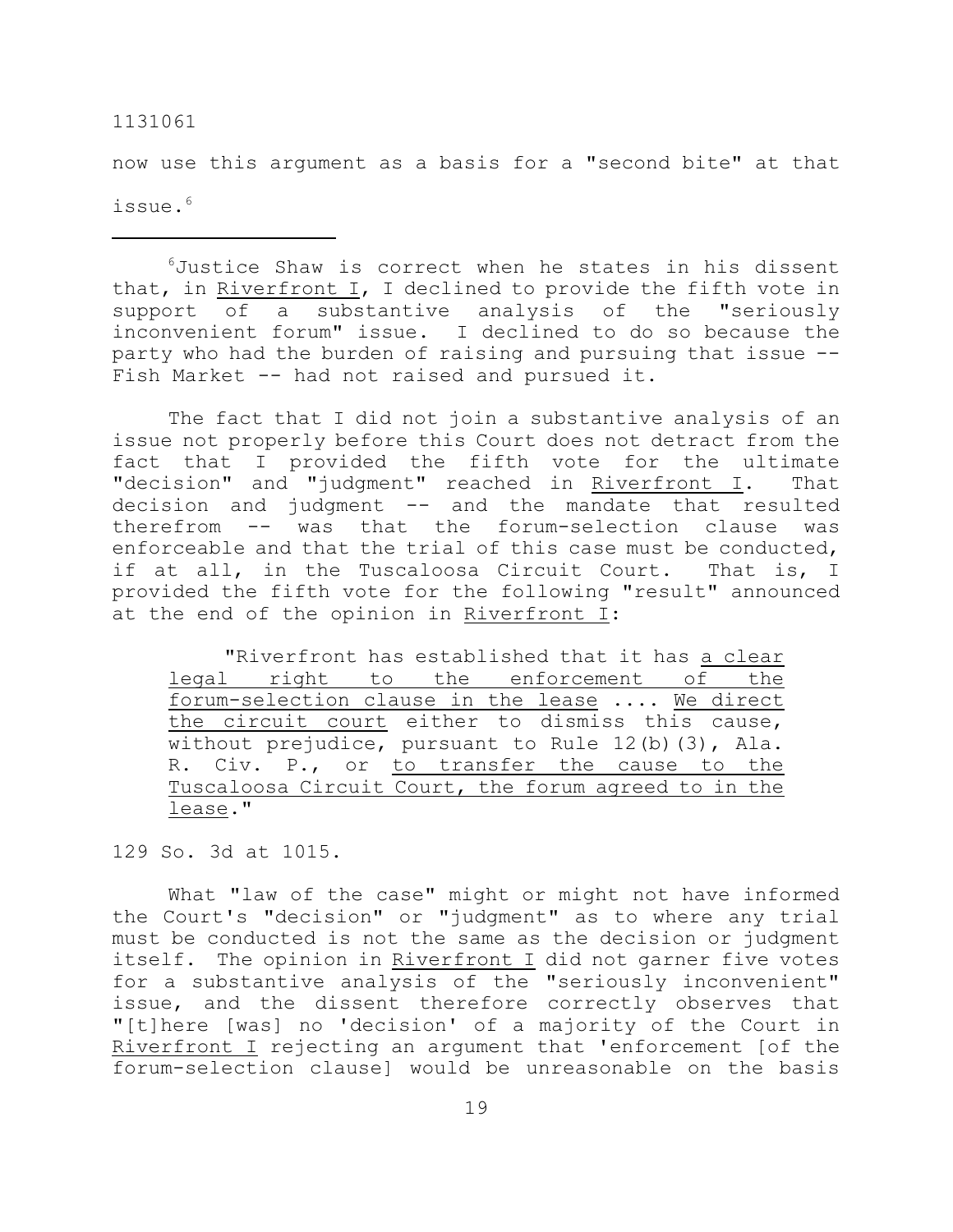now use this argument as a basis for a "second bite" at that issue. 6

 $6$ Justice Shaw is correct when he states in his dissent that, in Riverfront I, I declined to provide the fifth vote in support of a substantive analysis of the "seriously inconvenient forum" issue. I declined to do so because the party who had the burden of raising and pursuing that issue -- Fish Market -- had not raised and pursued it.

The fact that I did not join a substantive analysis of an issue not properly before this Court does not detract from the fact that I provided the fifth vote for the ultimate "decision" and "judgment" reached in Riverfront I. That decision and judgment -- and the mandate that resulted therefrom -- was that the forum-selection clause was enforceable and that the trial of this case must be conducted, if at all, in the Tuscaloosa Circuit Court. That is, I provided the fifth vote for the following "result" announced at the end of the opinion in Riverfront I:

"Riverfront has established that it has a clear legal right to the enforcement of the forum-selection clause in the lease .... We direct the circuit court either to dismiss this cause, without prejudice, pursuant to Rule 12(b)(3), Ala. R. Civ. P., or to transfer the cause to the Tuscaloosa Circuit Court, the forum agreed to in the lease."

129 So. 3d at 1015.

What "law of the case" might or might not have informed the Court's "decision" or "judgment" as to where any trial must be conducted is not the same as the decision or judgment itself. The opinion in Riverfront I did not garner five votes for a substantive analysis of the "seriously inconvenient" issue, and the dissent therefore correctly observes that "[t]here [was] no 'decision' of a majority of the Court in Riverfront I rejecting an argument that 'enforcement [of the forum-selection clause] would be unreasonable on the basis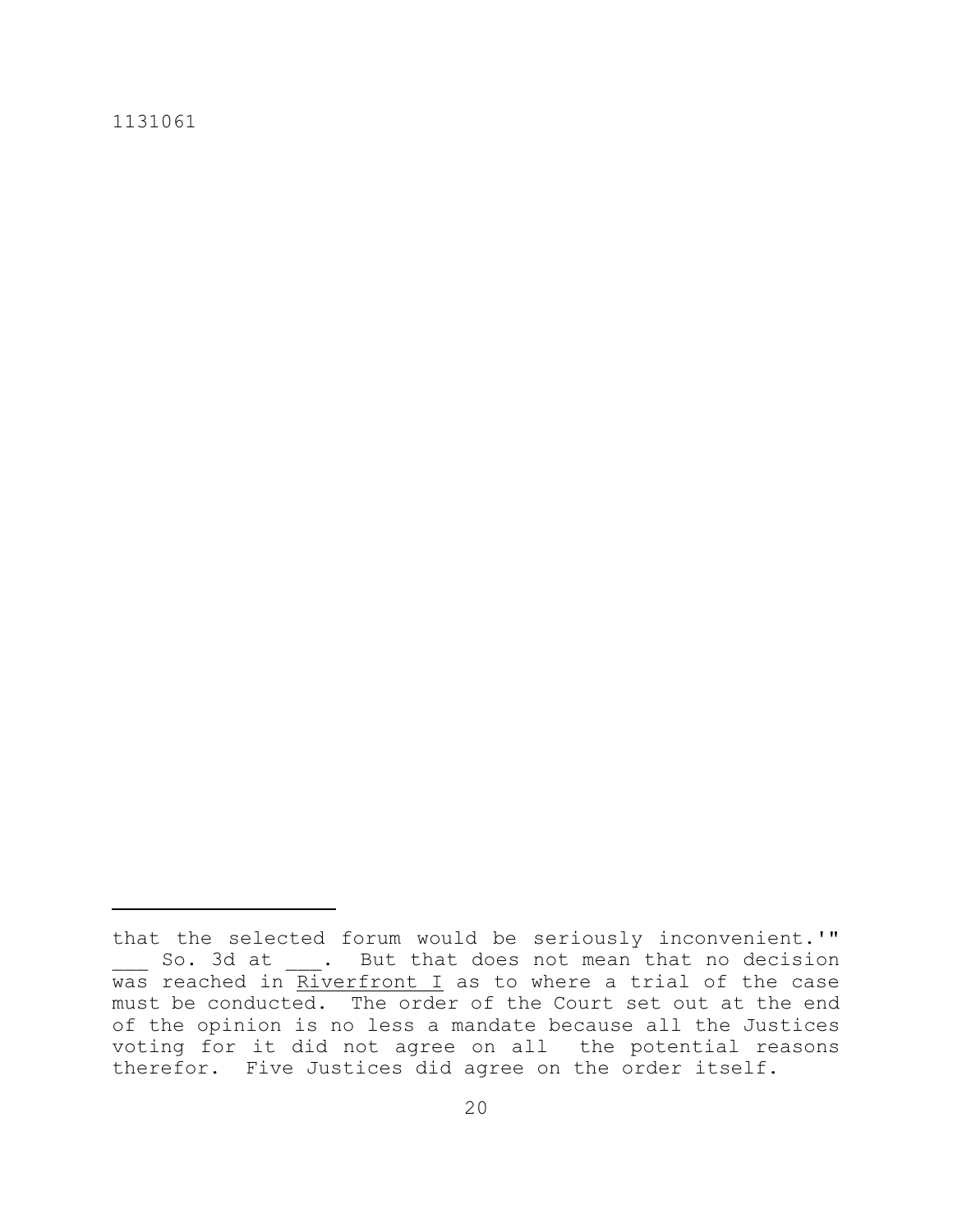that the selected forum would be seriously inconvenient.'" \_\_\_ So. 3d at \_\_\_. But that does not mean that no decision was reached in Riverfront I as to where a trial of the case must be conducted. The order of the Court set out at the end of the opinion is no less a mandate because all the Justices voting for it did not agree on all the potential reasons therefor. Five Justices did agree on the order itself.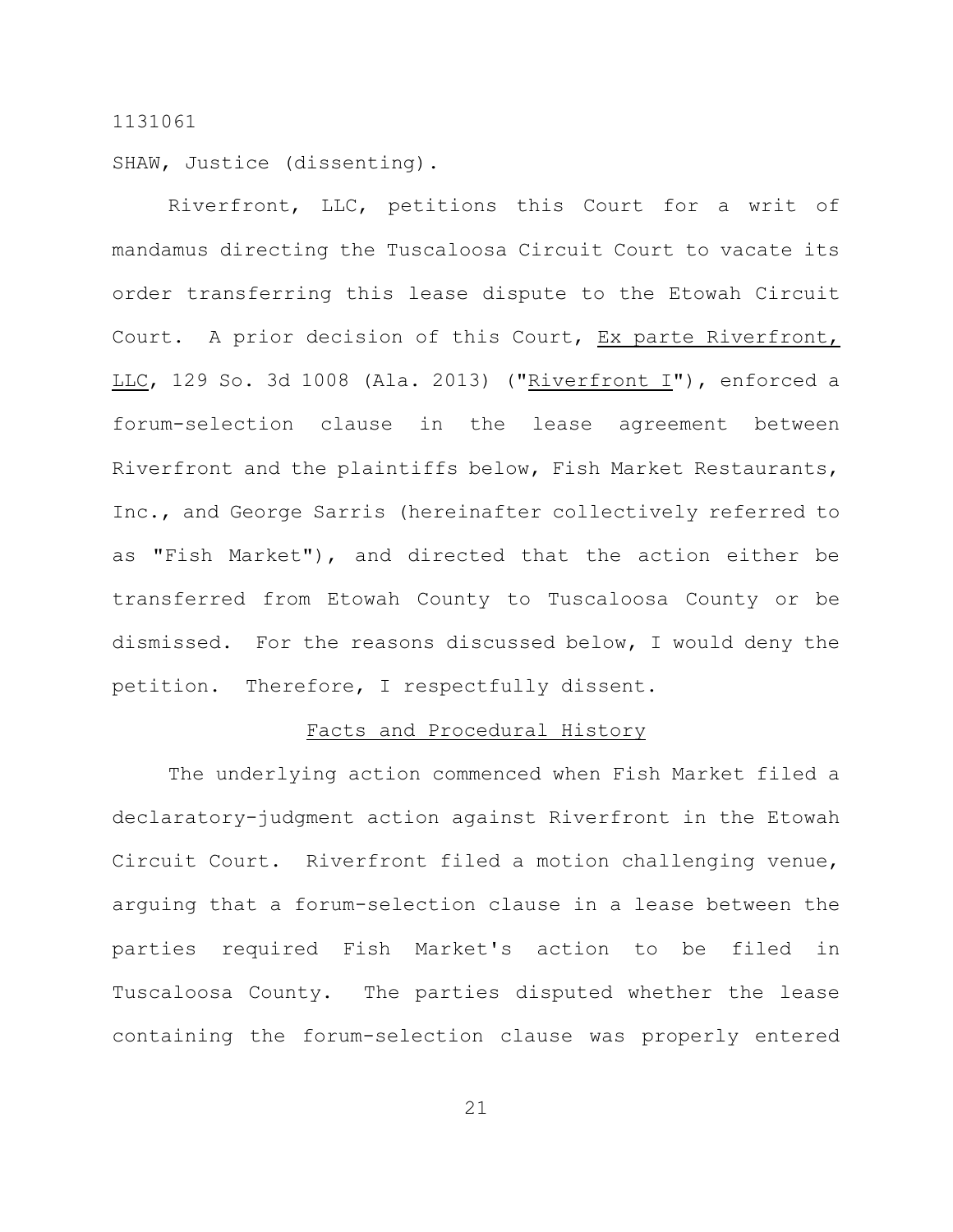SHAW, Justice (dissenting).

Riverfront, LLC, petitions this Court for a writ of mandamus directing the Tuscaloosa Circuit Court to vacate its order transferring this lease dispute to the Etowah Circuit Court. A prior decision of this Court, Ex parte Riverfront, LLC, 129 So. 3d 1008 (Ala. 2013) ("Riverfront I"), enforced a forum-selection clause in the lease agreement between Riverfront and the plaintiffs below, Fish Market Restaurants, Inc., and George Sarris (hereinafter collectively referred to as "Fish Market"), and directed that the action either be transferred from Etowah County to Tuscaloosa County or be dismissed. For the reasons discussed below, I would deny the petition. Therefore, I respectfully dissent.

## Facts and Procedural History

The underlying action commenced when Fish Market filed a declaratory-judgment action against Riverfront in the Etowah Circuit Court. Riverfront filed a motion challenging venue, arguing that a forum-selection clause in a lease between the parties required Fish Market's action to be filed in Tuscaloosa County. The parties disputed whether the lease containing the forum-selection clause was properly entered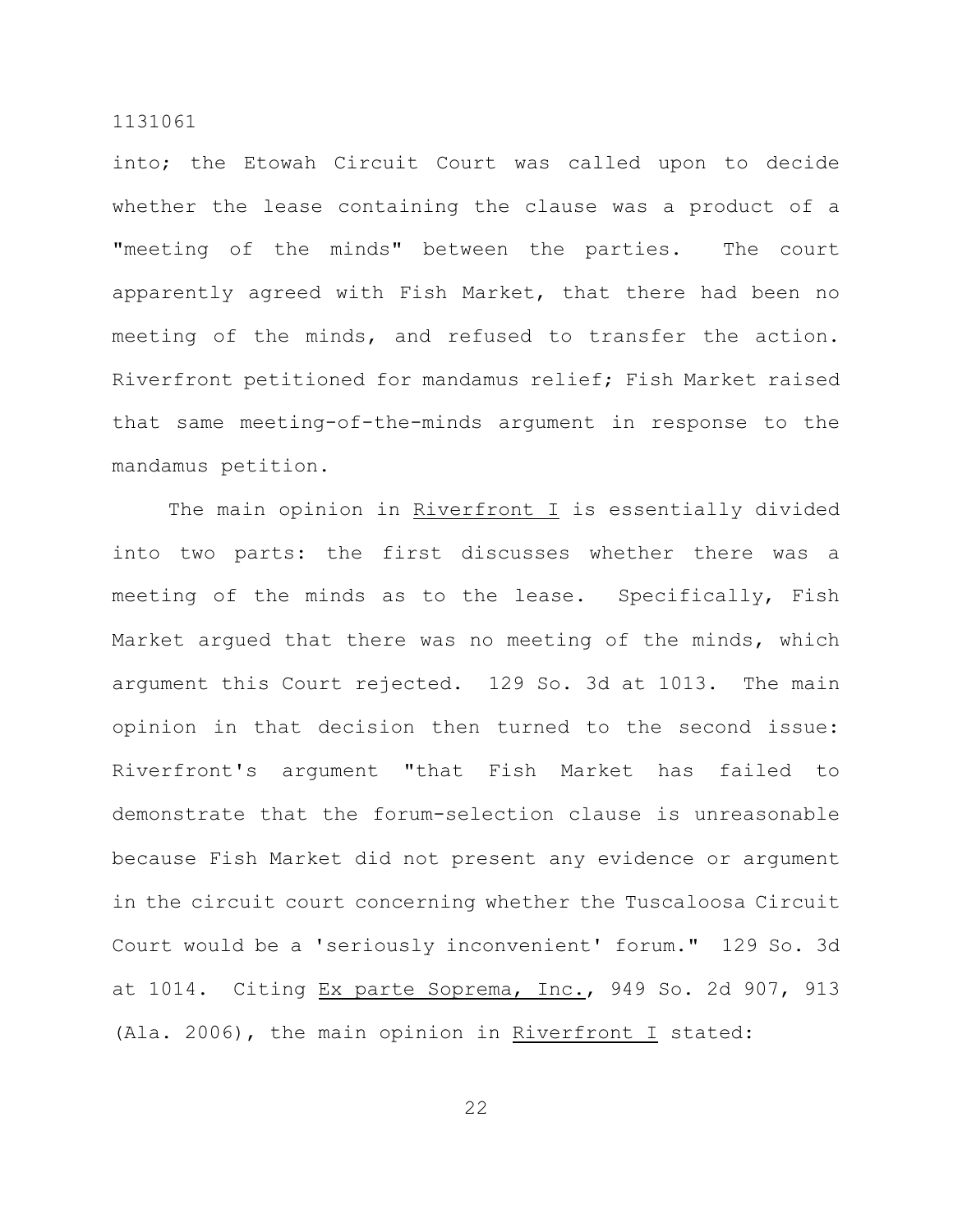into; the Etowah Circuit Court was called upon to decide whether the lease containing the clause was a product of a "meeting of the minds" between the parties. The court apparently agreed with Fish Market, that there had been no meeting of the minds, and refused to transfer the action. Riverfront petitioned for mandamus relief; Fish Market raised that same meeting-of-the-minds argument in response to the mandamus petition.

The main opinion in Riverfront I is essentially divided into two parts: the first discusses whether there was a meeting of the minds as to the lease. Specifically, Fish Market argued that there was no meeting of the minds, which argument this Court rejected. 129 So. 3d at 1013. The main opinion in that decision then turned to the second issue: Riverfront's argument "that Fish Market has failed to demonstrate that the forum-selection clause is unreasonable because Fish Market did not present any evidence or argument in the circuit court concerning whether the Tuscaloosa Circuit Court would be a 'seriously inconvenient' forum." 129 So. 3d at 1014. Citing Ex parte Soprema, Inc., 949 So. 2d 907, 913 (Ala. 2006), the main opinion in Riverfront I stated: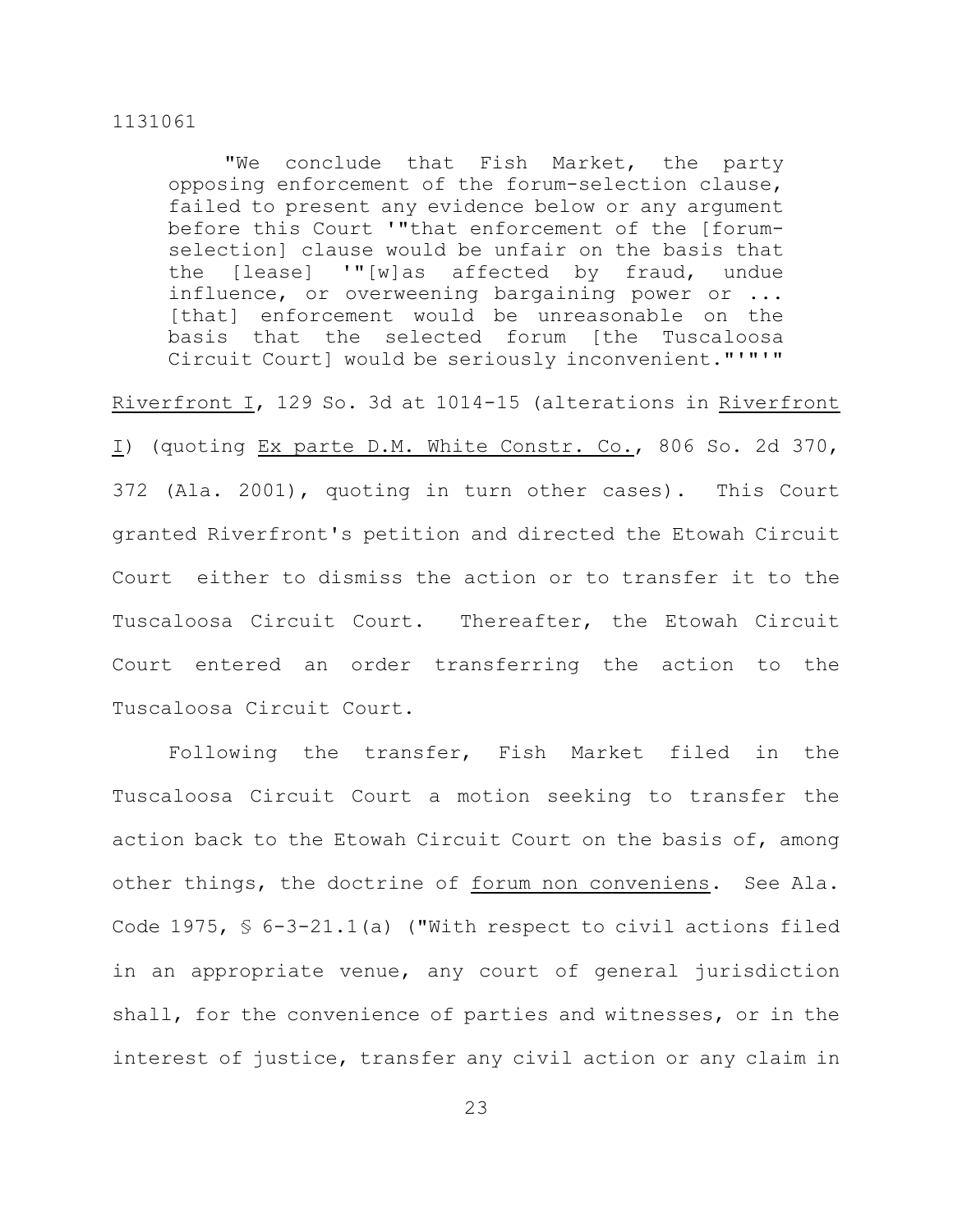"We conclude that Fish Market, the party opposing enforcement of the forum-selection clause, failed to present any evidence below or any argument before this Court '"that enforcement of the [forumselection] clause would be unfair on the basis that the [lease] '"[w]as affected by fraud, undue influence, or overweening bargaining power or ... [that] enforcement would be unreasonable on the basis that the selected forum [the Tuscaloosa Circuit Court] would be seriously inconvenient."'"'"

Riverfront I, 129 So. 3d at 1014-15 (alterations in Riverfront I) (quoting Ex parte D.M. White Constr. Co., 806 So. 2d 370, 372 (Ala. 2001), quoting in turn other cases). This Court granted Riverfront's petition and directed the Etowah Circuit Court either to dismiss the action or to transfer it to the Tuscaloosa Circuit Court. Thereafter, the Etowah Circuit Court entered an order transferring the action to the Tuscaloosa Circuit Court.

Following the transfer, Fish Market filed in the Tuscaloosa Circuit Court a motion seeking to transfer the action back to the Etowah Circuit Court on the basis of, among other things, the doctrine of forum non conveniens. See Ala. Code 1975, § 6-3-21.1(a) ("With respect to civil actions filed in an appropriate venue, any court of general jurisdiction shall, for the convenience of parties and witnesses, or in the interest of justice, transfer any civil action or any claim in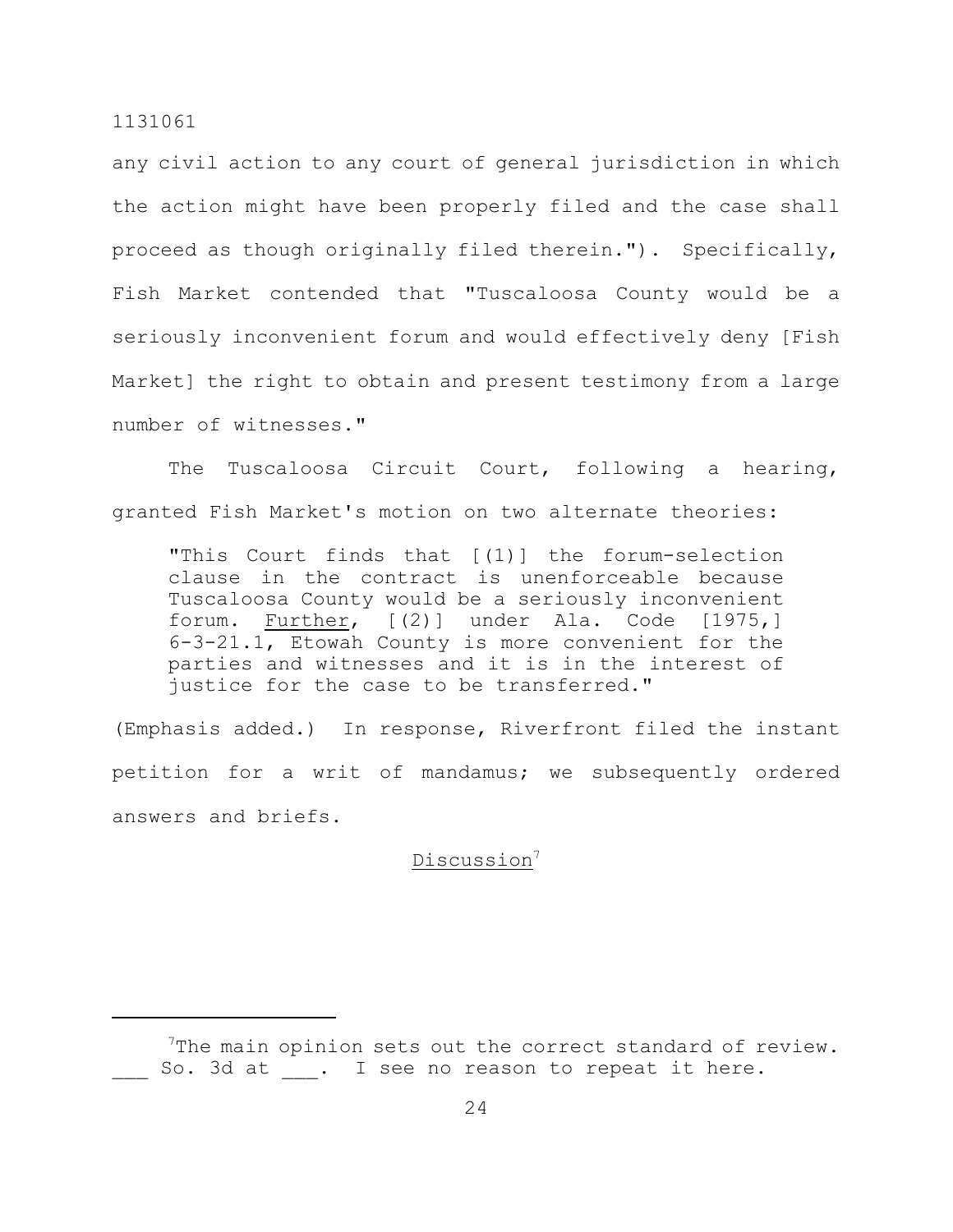any civil action to any court of general jurisdiction in which the action might have been properly filed and the case shall proceed as though originally filed therein."). Specifically, Fish Market contended that "Tuscaloosa County would be a seriously inconvenient forum and would effectively deny [Fish Market] the right to obtain and present testimony from a large number of witnesses."

The Tuscaloosa Circuit Court, following a hearing, granted Fish Market's motion on two alternate theories:

"This Court finds that [(1)] the forum-selection clause in the contract is unenforceable because Tuscaloosa County would be a seriously inconvenient forum. Further, [(2)] under Ala. Code [1975,] 6-3-21.1, Etowah County is more convenient for the parties and witnesses and it is in the interest of justice for the case to be transferred."

(Emphasis added.) In response, Riverfront filed the instant petition for a writ of mandamus; we subsequently ordered answers and briefs.

## Discussion<sup>7</sup>

 $7$ The main opinion sets out the correct standard of review. So. 3d at . I see no reason to repeat it here.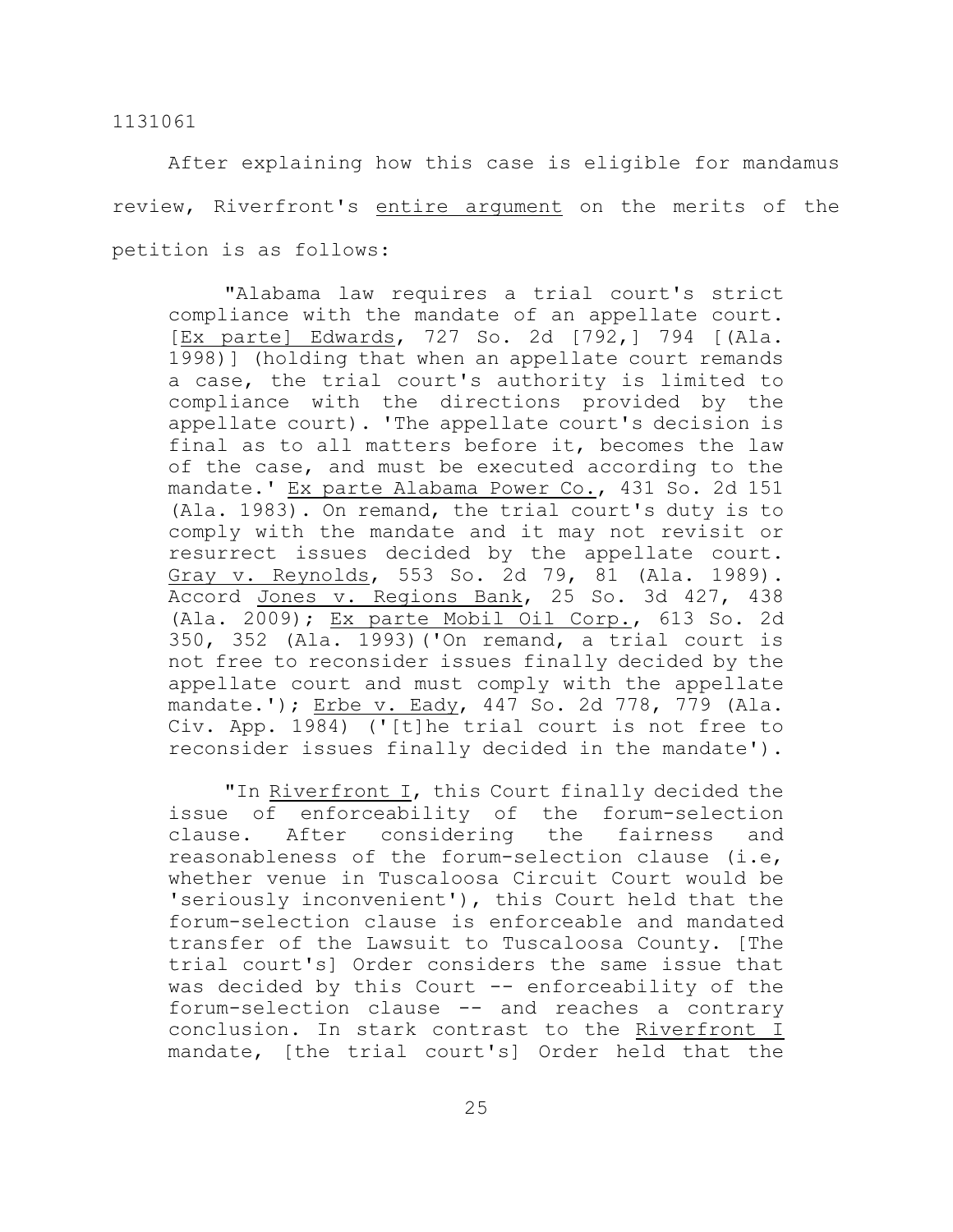After explaining how this case is eligible for mandamus review, Riverfront's entire argument on the merits of the petition is as follows:

"Alabama law requires a trial court's strict compliance with the mandate of an appellate court. [Ex parte] Edwards, 727 So. 2d [792,] 794 [(Ala. 1998)] (holding that when an appellate court remands a case, the trial court's authority is limited to compliance with the directions provided by the appellate court). 'The appellate court's decision is final as to all matters before it, becomes the law of the case, and must be executed according to the mandate.' Ex parte Alabama Power Co., 431 So. 2d 151 (Ala. 1983). On remand, the trial court's duty is to comply with the mandate and it may not revisit or resurrect issues decided by the appellate court. Gray v. Reynolds, 553 So. 2d 79, 81 (Ala. 1989). Accord Jones v. Regions Bank, 25 So. 3d 427, 438 (Ala. 2009); Ex parte Mobil Oil Corp., 613 So. 2d 350, 352 (Ala. 1993)('On remand, a trial court is not free to reconsider issues finally decided by the appellate court and must comply with the appellate mandate.'); Erbe v. Eady, 447 So. 2d 778, 779 (Ala. Civ. App. 1984) ('[t]he trial court is not free to reconsider issues finally decided in the mandate').

"In Riverfront I, this Court finally decided the issue of enforceability of the forum-selection clause. After considering the fairness and reasonableness of the forum-selection clause (i.e, whether venue in Tuscaloosa Circuit Court would be 'seriously inconvenient'), this Court held that the forum-selection clause is enforceable and mandated transfer of the Lawsuit to Tuscaloosa County. [The trial court's] Order considers the same issue that was decided by this Court -- enforceability of the forum-selection clause -- and reaches a contrary conclusion. In stark contrast to the Riverfront I mandate, [the trial court's] Order held that the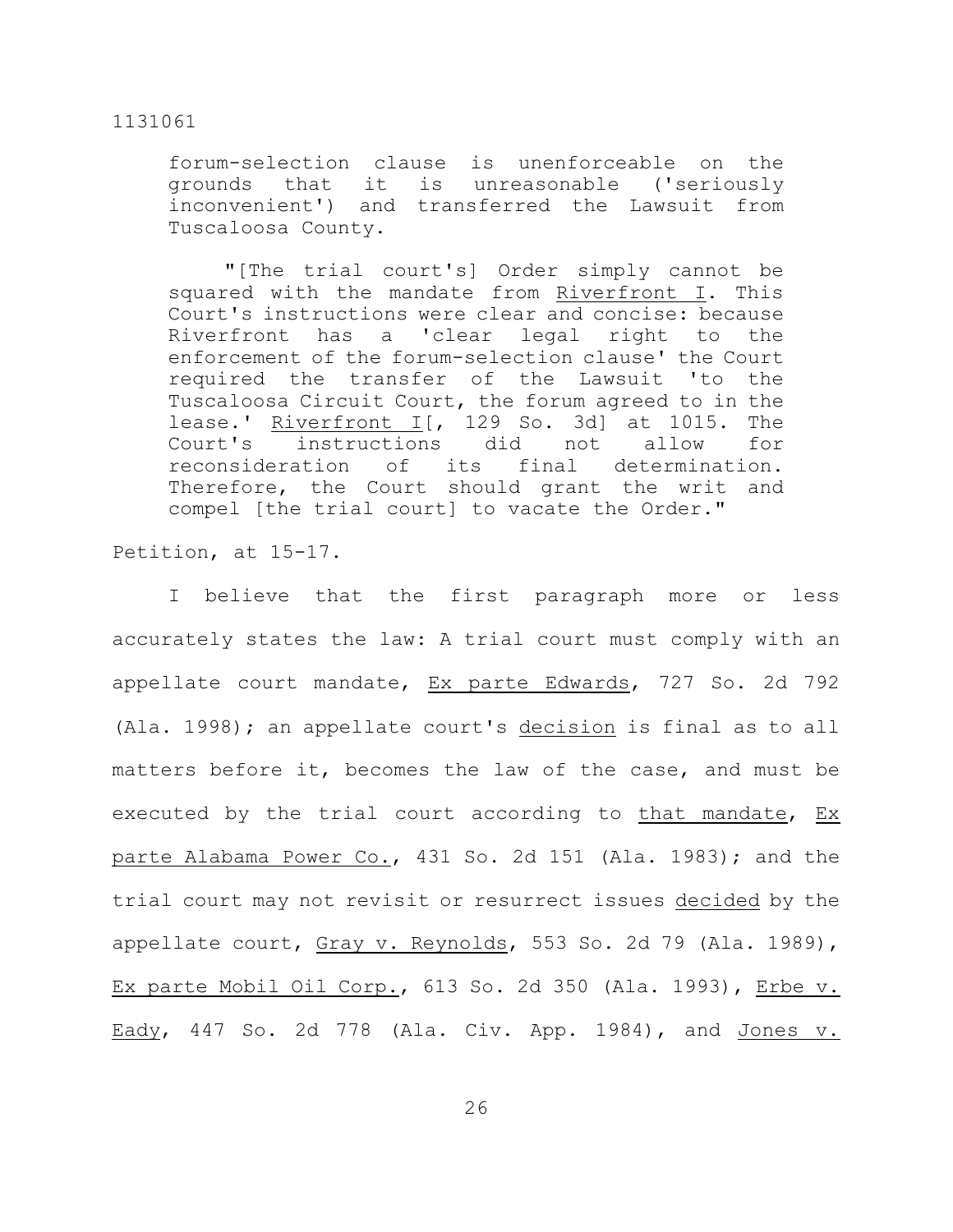forum-selection clause is unenforceable on the grounds that it is unreasonable ('seriously inconvenient') and transferred the Lawsuit from Tuscaloosa County.

"[The trial court's] Order simply cannot be squared with the mandate from Riverfront I. This Court's instructions were clear and concise: because Riverfront has a 'clear legal right to the enforcement of the forum-selection clause' the Court required the transfer of the Lawsuit 'to the Tuscaloosa Circuit Court, the forum agreed to in the lease.' Riverfront  $I$ [, 129 So. 3d] at 1015. The Court's instructions did not allow for reconsideration of its final determination. Therefore, the Court should grant the writ and compel [the trial court] to vacate the Order."

Petition, at 15-17.

I believe that the first paragraph more or less accurately states the law: A trial court must comply with an appellate court mandate, Ex parte Edwards, 727 So. 2d 792 (Ala. 1998); an appellate court's decision is final as to all matters before it, becomes the law of the case, and must be executed by the trial court according to that mandate, Ex parte Alabama Power Co., 431 So. 2d 151 (Ala. 1983); and the trial court may not revisit or resurrect issues decided by the appellate court, Gray v. Reynolds, 553 So. 2d 79 (Ala. 1989), Ex parte Mobil Oil Corp., 613 So. 2d 350 (Ala. 1993), Erbe v. Eady, 447 So. 2d 778 (Ala. Civ. App. 1984), and Jones v.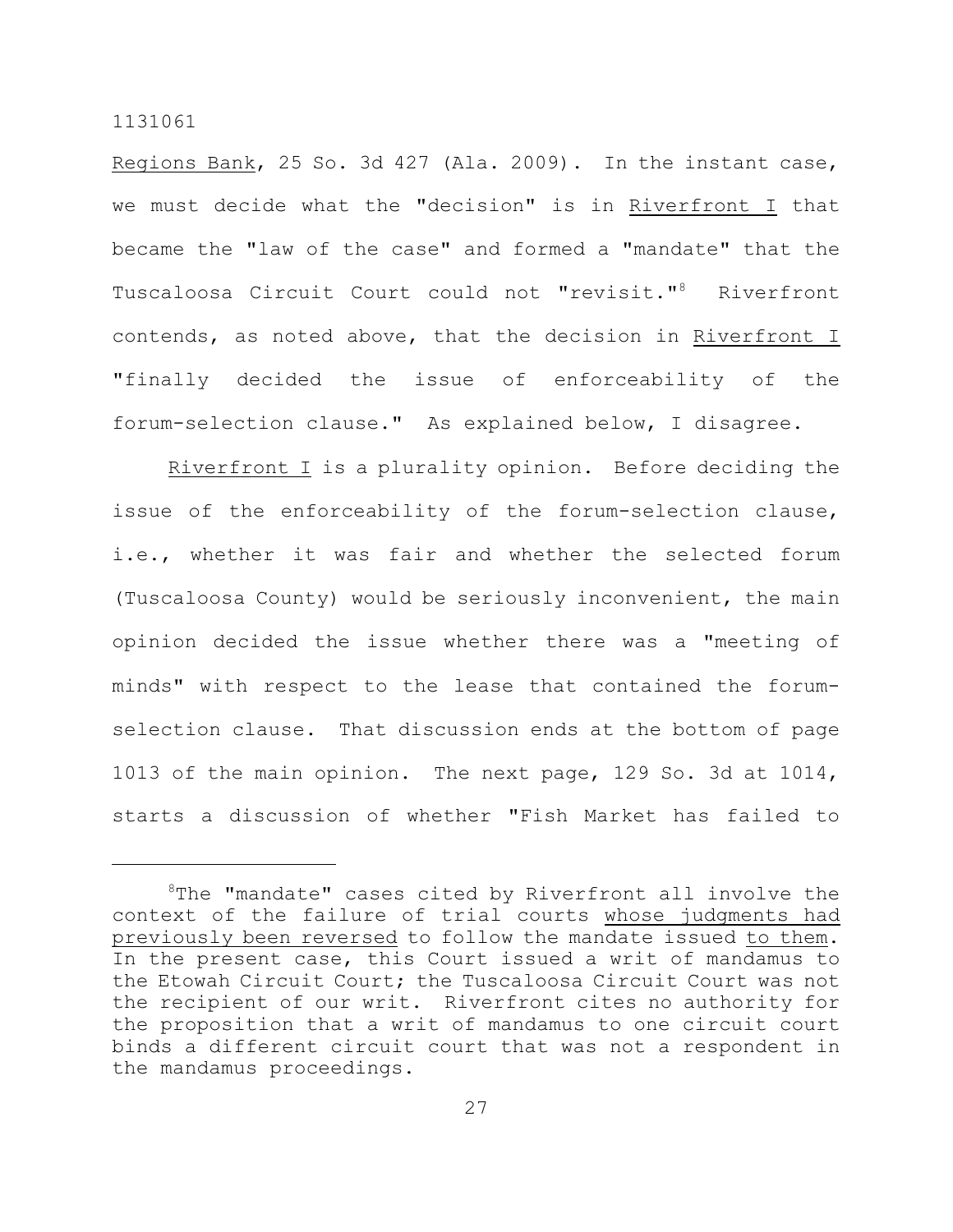Regions Bank, 25 So. 3d 427 (Ala. 2009). In the instant case, we must decide what the "decision" is in Riverfront I that became the "law of the case" and formed a "mandate" that the Tuscaloosa Circuit Court could not "revisit."<sup>8</sup> Riverfront contends, as noted above, that the decision in Riverfront I "finally decided the issue of enforceability of the forum-selection clause." As explained below, I disagree.

Riverfront I is a plurality opinion. Before deciding the issue of the enforceability of the forum-selection clause, i.e., whether it was fair and whether the selected forum (Tuscaloosa County) would be seriously inconvenient, the main opinion decided the issue whether there was a "meeting of minds" with respect to the lease that contained the forumselection clause. That discussion ends at the bottom of page 1013 of the main opinion. The next page, 129 So. 3d at 1014, starts a discussion of whether "Fish Market has failed to

 $8$ The "mandate" cases cited by Riverfront all involve the context of the failure of trial courts whose judgments had previously been reversed to follow the mandate issued to them. In the present case, this Court issued a writ of mandamus to the Etowah Circuit Court; the Tuscaloosa Circuit Court was not the recipient of our writ. Riverfront cites no authority for the proposition that a writ of mandamus to one circuit court binds a different circuit court that was not a respondent in the mandamus proceedings.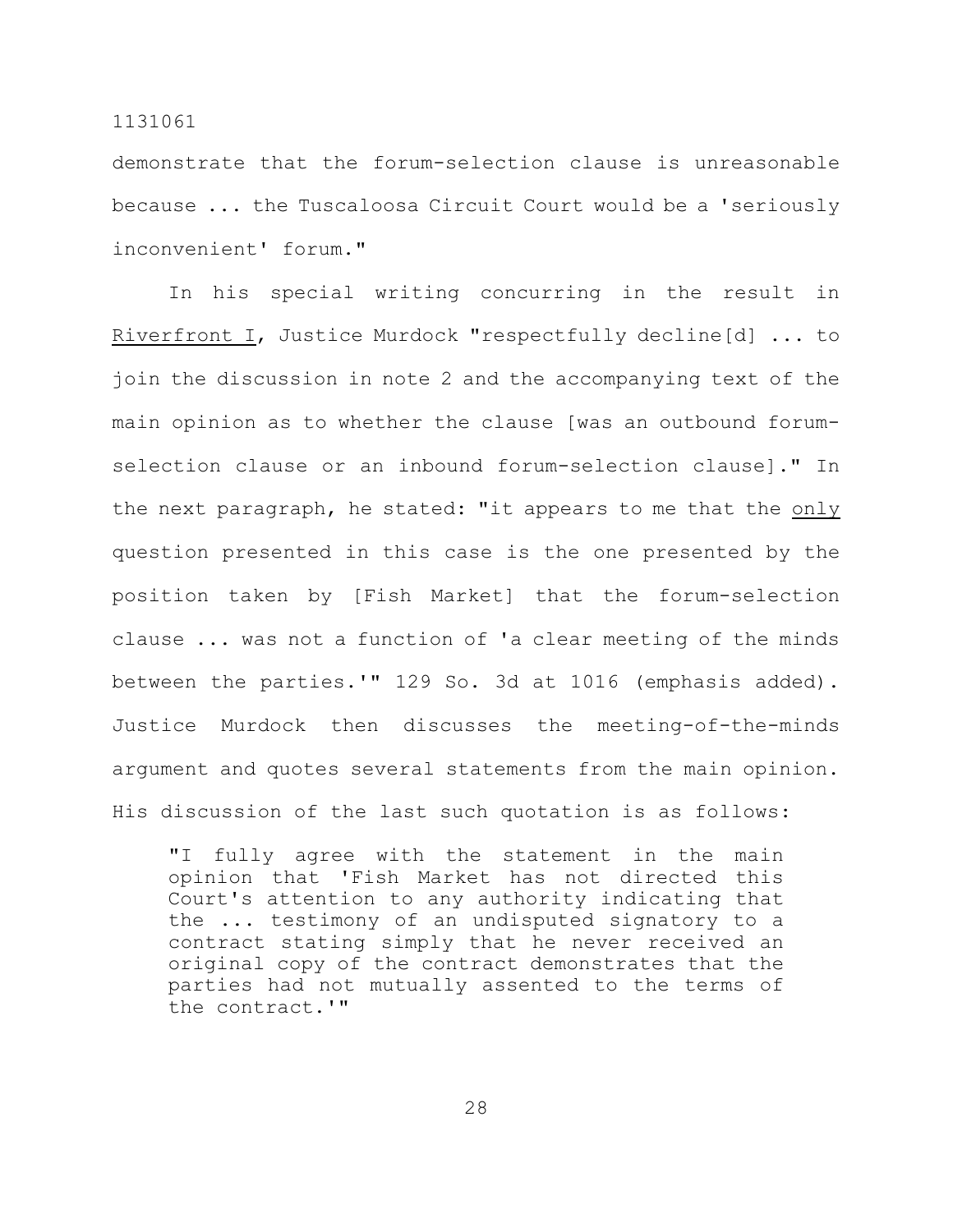demonstrate that the forum-selection clause is unreasonable because ... the Tuscaloosa Circuit Court would be a 'seriously inconvenient' forum."

In his special writing concurring in the result in Riverfront I, Justice Murdock "respectfully decline[d] ... to join the discussion in note 2 and the accompanying text of the main opinion as to whether the clause [was an outbound forumselection clause or an inbound forum-selection clause]." In the next paragraph, he stated: "it appears to me that the only question presented in this case is the one presented by the position taken by [Fish Market] that the forum-selection clause ... was not a function of 'a clear meeting of the minds between the parties.'" 129 So. 3d at 1016 (emphasis added). Justice Murdock then discusses the meeting-of-the-minds argument and quotes several statements from the main opinion. His discussion of the last such quotation is as follows:

"I fully agree with the statement in the main opinion that 'Fish Market has not directed this Court's attention to any authority indicating that the ... testimony of an undisputed signatory to a contract stating simply that he never received an original copy of the contract demonstrates that the parties had not mutually assented to the terms of the contract.'"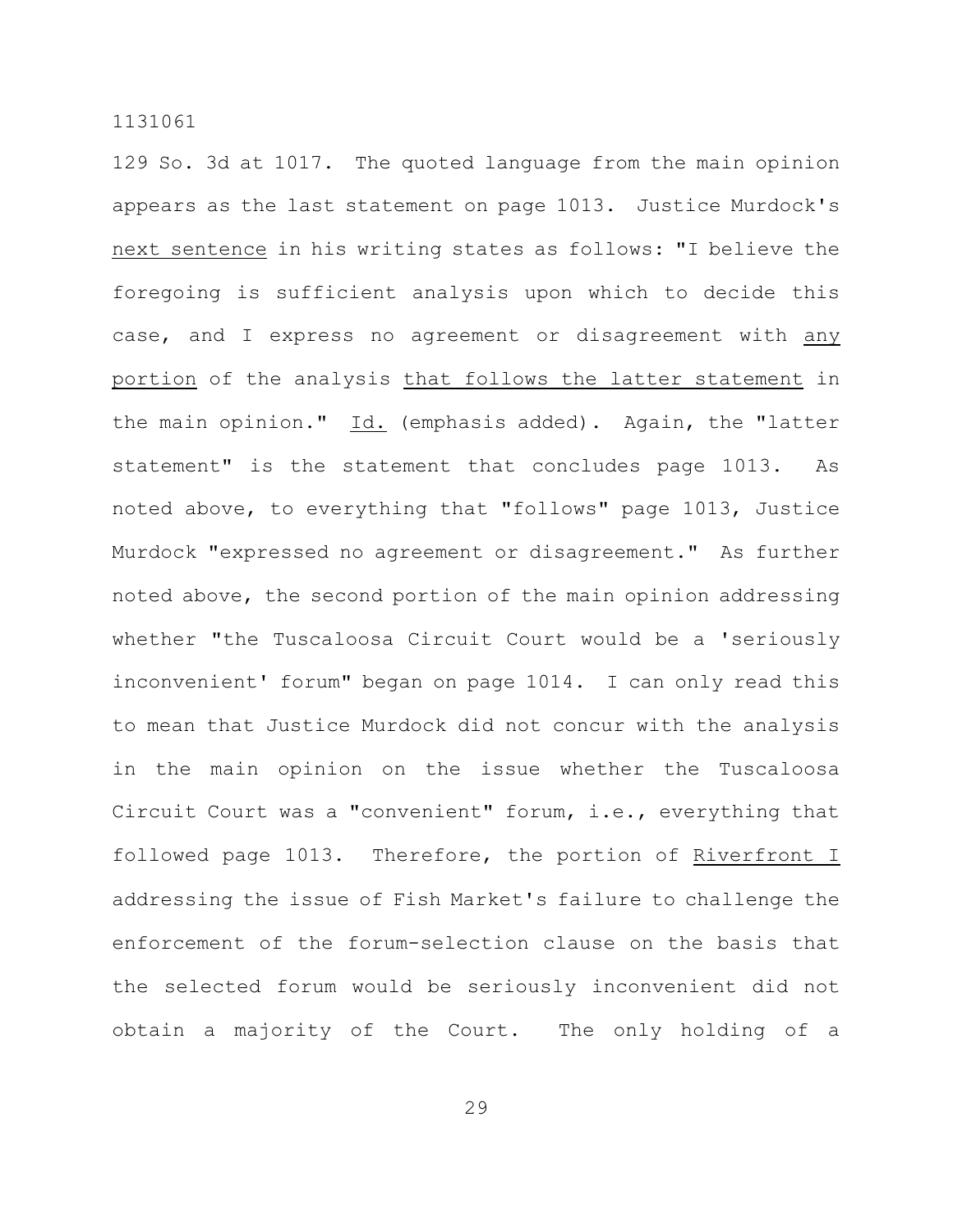129 So. 3d at 1017. The quoted language from the main opinion appears as the last statement on page 1013. Justice Murdock's next sentence in his writing states as follows: "I believe the foregoing is sufficient analysis upon which to decide this case, and I express no agreement or disagreement with any portion of the analysis that follows the latter statement in the main opinion." Id. (emphasis added). Again, the "latter statement" is the statement that concludes page 1013. As noted above, to everything that "follows" page 1013, Justice Murdock "expressed no agreement or disagreement." As further noted above, the second portion of the main opinion addressing whether "the Tuscaloosa Circuit Court would be a 'seriously inconvenient' forum" began on page 1014. I can only read this to mean that Justice Murdock did not concur with the analysis in the main opinion on the issue whether the Tuscaloosa Circuit Court was a "convenient" forum, i.e., everything that followed page 1013. Therefore, the portion of Riverfront I addressing the issue of Fish Market's failure to challenge the enforcement of the forum-selection clause on the basis that the selected forum would be seriously inconvenient did not obtain a majority of the Court. The only holding of a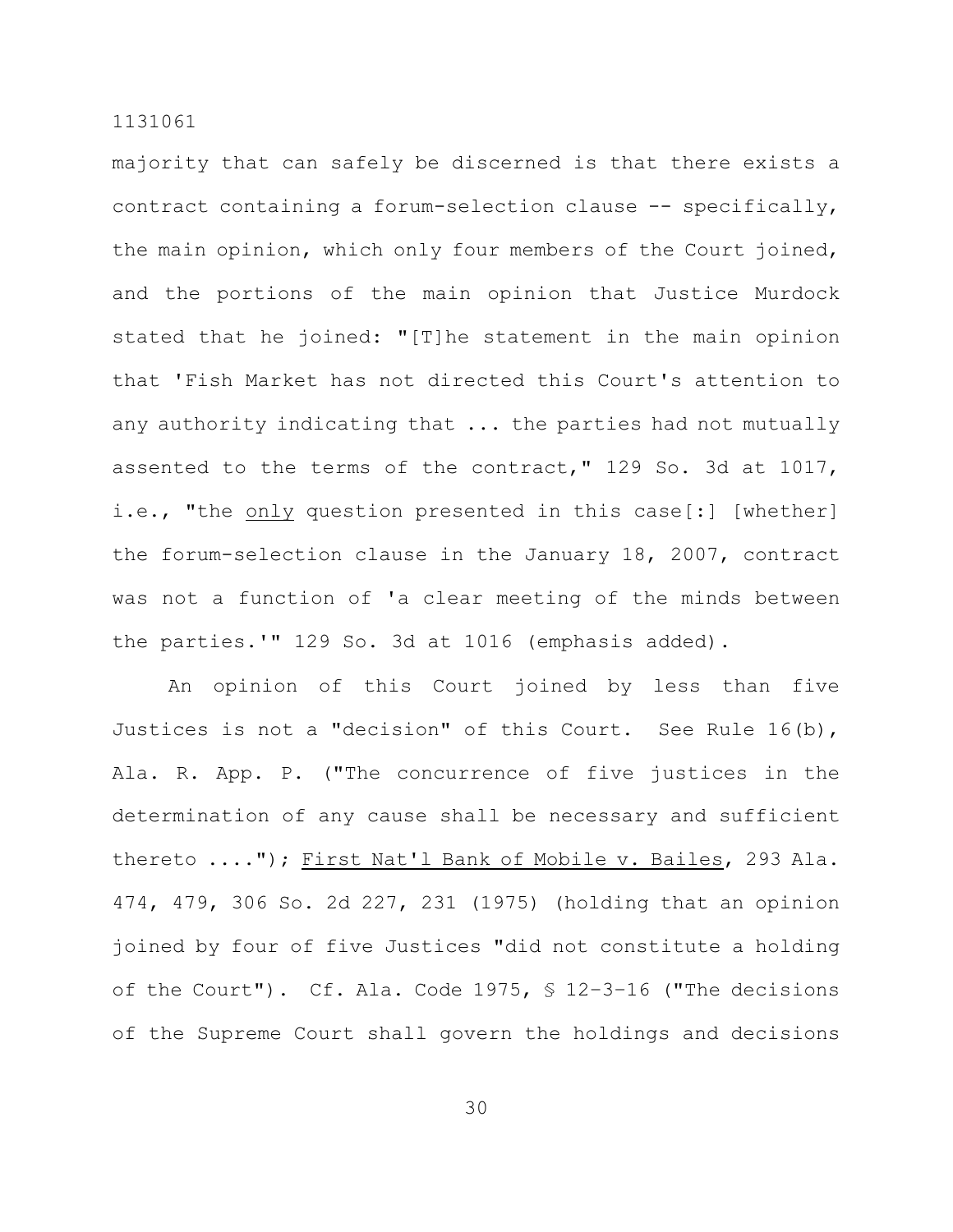majority that can safely be discerned is that there exists a contract containing a forum-selection clause -- specifically, the main opinion, which only four members of the Court joined, and the portions of the main opinion that Justice Murdock stated that he joined: "[T]he statement in the main opinion that 'Fish Market has not directed this Court's attention to any authority indicating that ... the parties had not mutually assented to the terms of the contract," 129 So. 3d at 1017, i.e., "the only question presented in this case[:] [whether] the forum-selection clause in the January 18, 2007, contract was not a function of 'a clear meeting of the minds between the parties.'" 129 So. 3d at 1016 (emphasis added).

An opinion of this Court joined by less than five Justices is not a "decision" of this Court. See Rule 16(b), Ala. R. App. P. ("The concurrence of five justices in the determination of any cause shall be necessary and sufficient thereto ...."); First Nat'l Bank of Mobile v. Bailes, 293 Ala. 474, 479, 306 So. 2d 227, 231 (1975) (holding that an opinion joined by four of five Justices "did not constitute a holding of the Court"). Cf. Ala. Code 1975, § 12–3–16 ("The decisions of the Supreme Court shall govern the holdings and decisions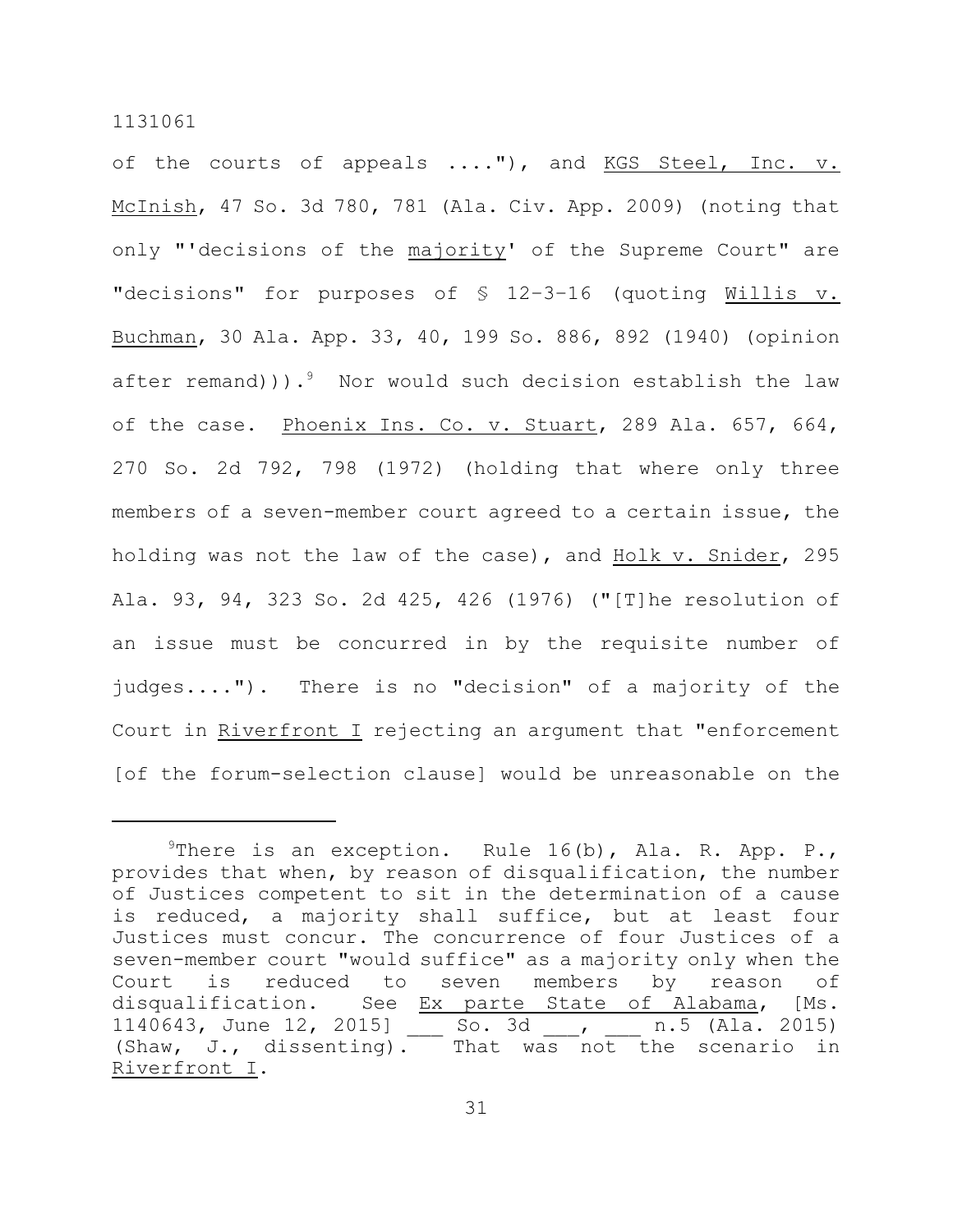of the courts of appeals ...."), and KGS Steel, Inc. v. McInish, 47 So. 3d 780, 781 (Ala. Civ. App. 2009) (noting that only "'decisions of the majority' of the Supreme Court" are "decisions" for purposes of § 12–3–16 (quoting Willis v. Buchman, 30 Ala. App. 33, 40, 199 So. 886, 892 (1940) (opinion after remand))). $9$  Nor would such decision establish the law of the case. Phoenix Ins. Co. v. Stuart, 289 Ala. 657, 664, 270 So. 2d 792, 798 (1972) (holding that where only three members of a seven-member court agreed to a certain issue, the holding was not the law of the case), and Holk v. Snider, 295 Ala. 93, 94, 323 So. 2d 425, 426 (1976) ("[T]he resolution of an issue must be concurred in by the requisite number of judges...."). There is no "decision" of a majority of the Court in Riverfront I rejecting an argument that "enforcement [of the forum-selection clause] would be unreasonable on the

<sup>&</sup>lt;sup>9</sup>There is an exception. Rule 16(b), Ala. R. App. P., provides that when, by reason of disqualification, the number of Justices competent to sit in the determination of a cause is reduced, a majority shall suffice, but at least four Justices must concur. The concurrence of four Justices of a seven-member court "would suffice" as a majority only when the Court is reduced to seven members by reason of disqualification. See Ex parte State of Alabama, [Ms. 1140643, June 12, 2015] So. 3d , n.5 (Ala. 2015) (Shaw, J., dissenting). That was not the scenario in Riverfront I.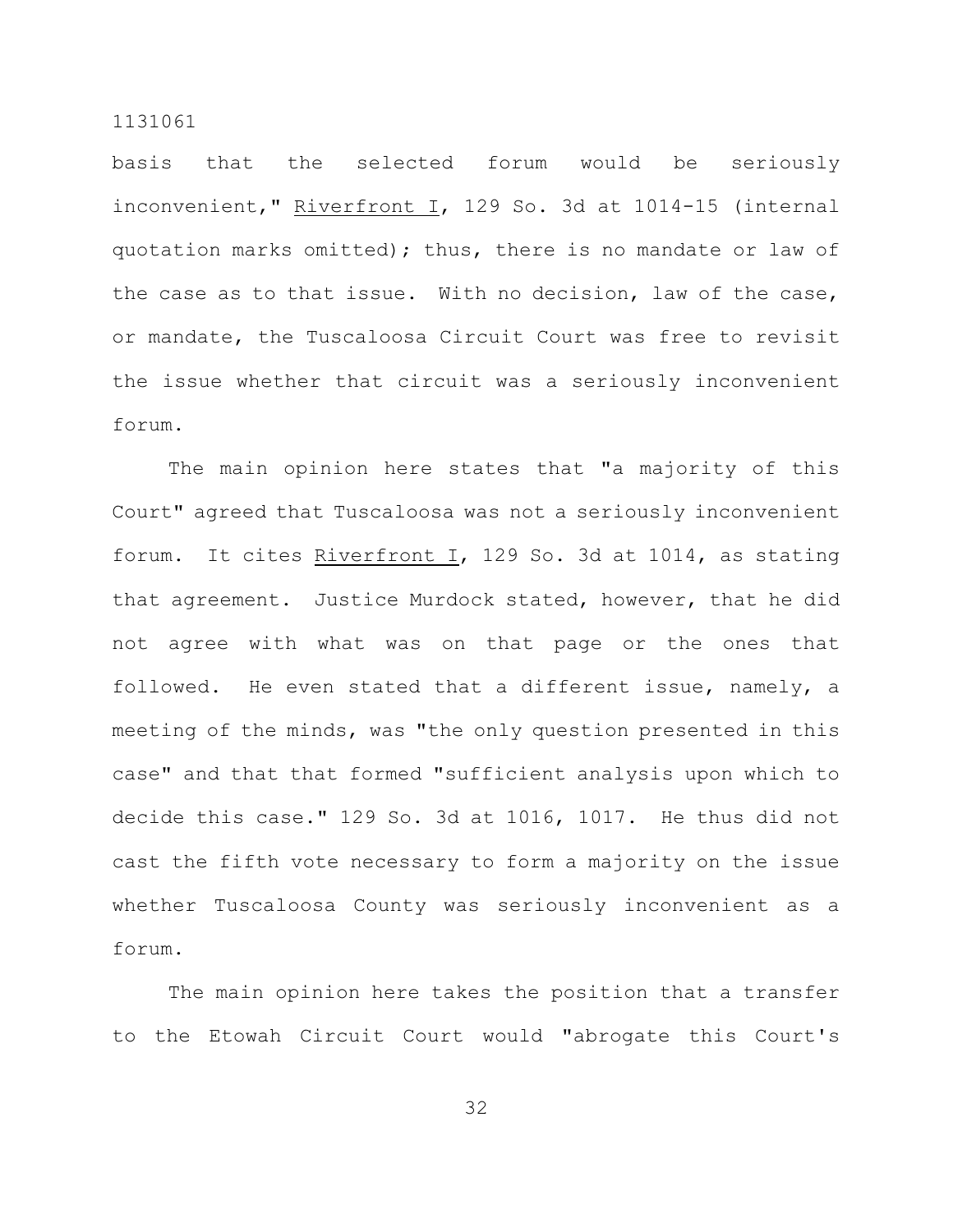basis that the selected forum would be seriously inconvenient," Riverfront I, 129 So. 3d at 1014-15 (internal quotation marks omitted); thus, there is no mandate or law of the case as to that issue. With no decision, law of the case, or mandate, the Tuscaloosa Circuit Court was free to revisit the issue whether that circuit was a seriously inconvenient forum.

The main opinion here states that "a majority of this Court" agreed that Tuscaloosa was not a seriously inconvenient forum. It cites Riverfront I, 129 So. 3d at 1014, as stating that agreement. Justice Murdock stated, however, that he did not agree with what was on that page or the ones that followed. He even stated that a different issue, namely, a meeting of the minds, was "the only question presented in this case" and that that formed "sufficient analysis upon which to decide this case." 129 So. 3d at 1016, 1017. He thus did not cast the fifth vote necessary to form a majority on the issue whether Tuscaloosa County was seriously inconvenient as a forum.

The main opinion here takes the position that a transfer to the Etowah Circuit Court would "abrogate this Court's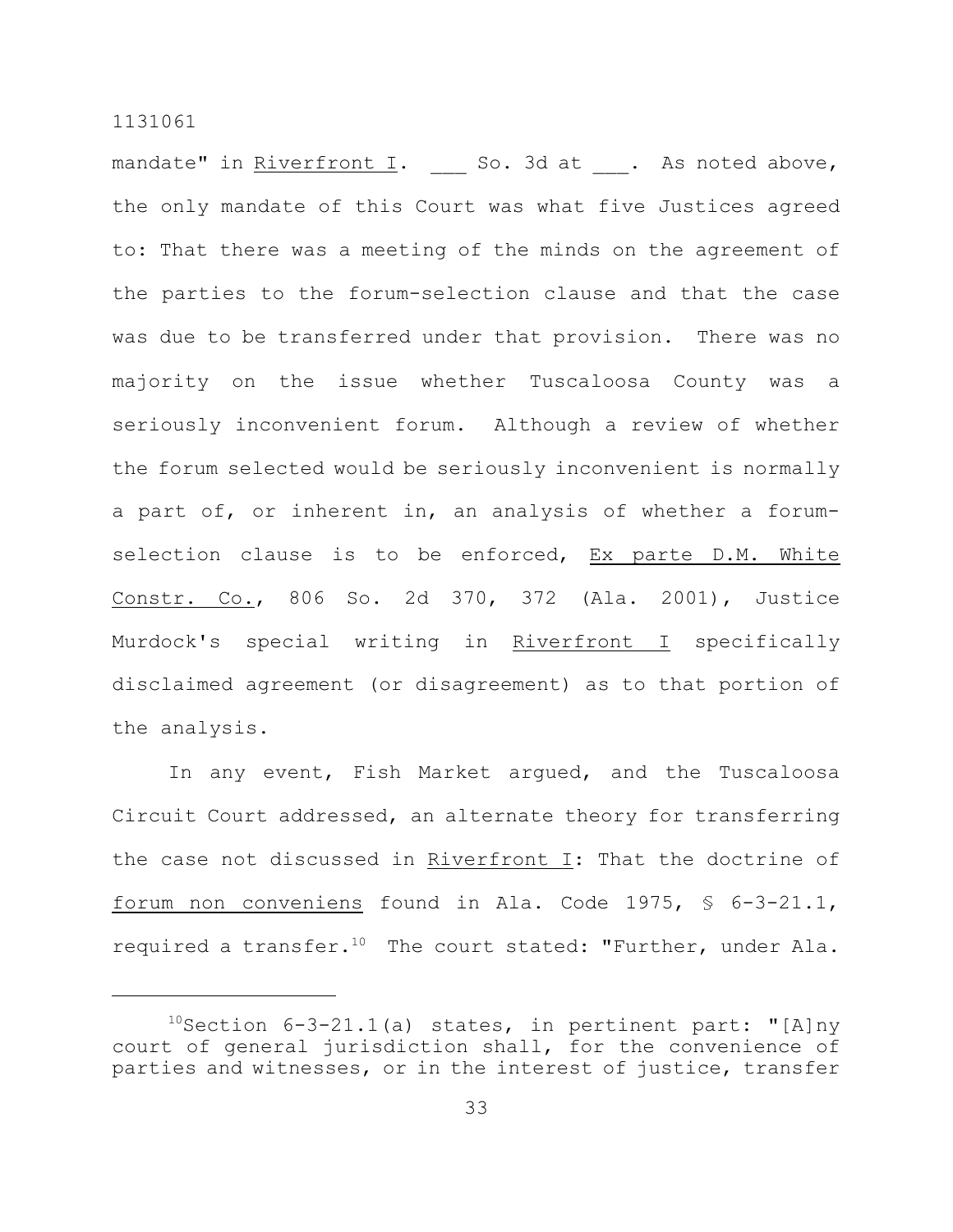mandate" in Riverfront I. So. 3d at . As noted above, the only mandate of this Court was what five Justices agreed to: That there was a meeting of the minds on the agreement of the parties to the forum-selection clause and that the case was due to be transferred under that provision. There was no majority on the issue whether Tuscaloosa County was a seriously inconvenient forum. Although a review of whether the forum selected would be seriously inconvenient is normally a part of, or inherent in, an analysis of whether a forumselection clause is to be enforced, Ex parte D.M. White Constr. Co., 806 So. 2d 370, 372 (Ala. 2001), Justice Murdock's special writing in Riverfront I specifically disclaimed agreement (or disagreement) as to that portion of the analysis.

In any event, Fish Market argued, and the Tuscaloosa Circuit Court addressed, an alternate theory for transferring the case not discussed in Riverfront I: That the doctrine of forum non conveniens found in Ala. Code 1975, § 6-3-21.1, required a transfer.<sup>10</sup> The court stated: "Further, under Ala.

 $10$ Section 6-3-21.1(a) states, in pertinent part: "[A]ny court of general jurisdiction shall, for the convenience of parties and witnesses, or in the interest of justice, transfer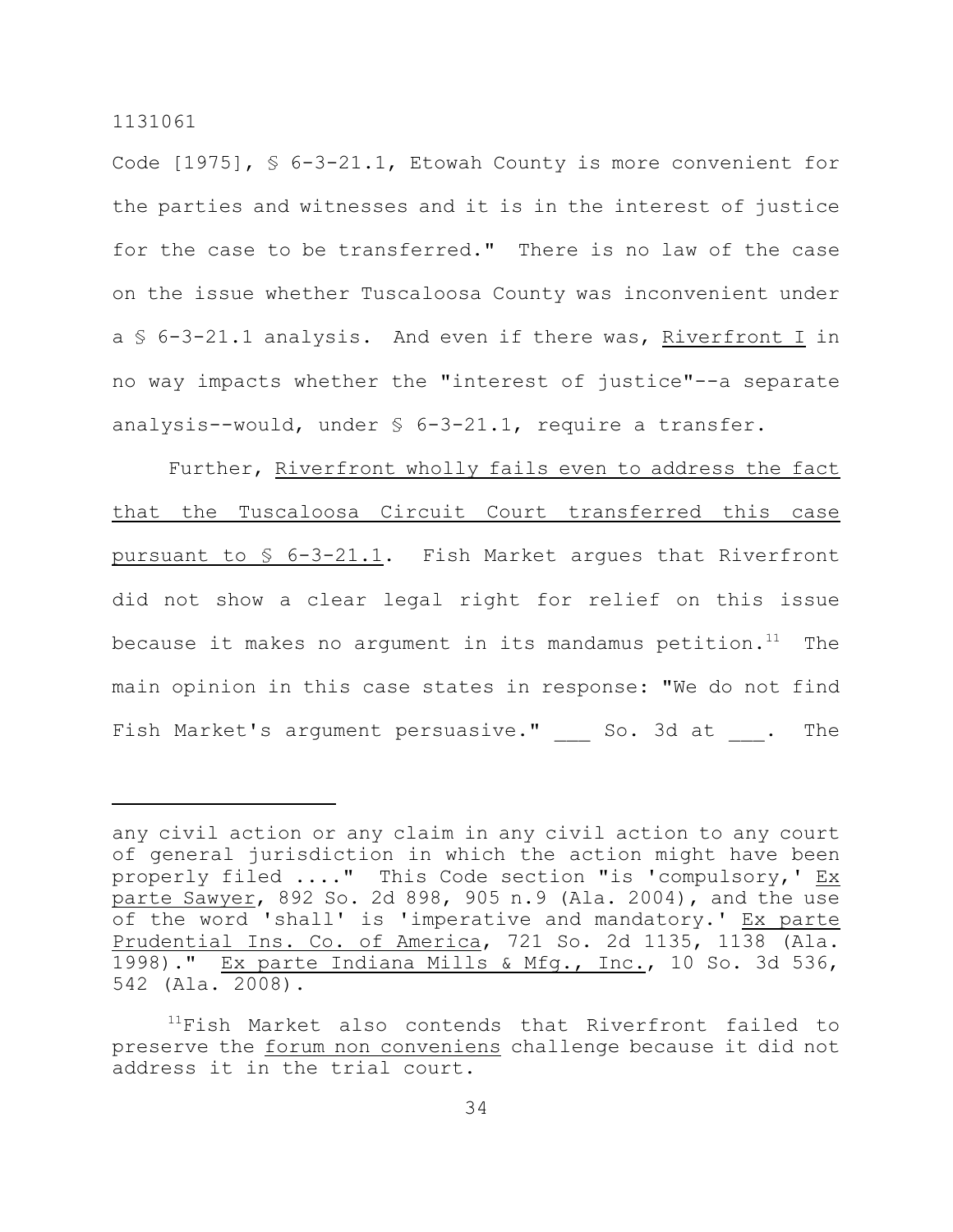Code [1975], § 6-3-21.1, Etowah County is more convenient for the parties and witnesses and it is in the interest of justice for the case to be transferred." There is no law of the case on the issue whether Tuscaloosa County was inconvenient under a § 6-3-21.1 analysis. And even if there was, Riverfront I in no way impacts whether the "interest of justice"--a separate analysis--would, under § 6-3-21.1, require a transfer.

Further, Riverfront wholly fails even to address the fact that the Tuscaloosa Circuit Court transferred this case pursuant to § 6-3-21.1. Fish Market argues that Riverfront did not show a clear legal right for relief on this issue because it makes no argument in its mandamus petition.<sup>11</sup> The main opinion in this case states in response: "We do not find Fish Market's argument persuasive." So. 3d at . The

any civil action or any claim in any civil action to any court of general jurisdiction in which the action might have been properly filed ...." This Code section "is 'compulsory,' Ex parte Sawyer, 892 So. 2d 898, 905 n.9 (Ala. 2004), and the use of the word 'shall' is 'imperative and mandatory.' Ex parte Prudential Ins. Co. of America, 721 So. 2d 1135, 1138 (Ala. 1998)." Ex parte Indiana Mills & Mfg., Inc., 10 So. 3d 536, 542 (Ala. 2008).

 $11$ Fish Market also contends that Riverfront failed to preserve the forum non conveniens challenge because it did not address it in the trial court.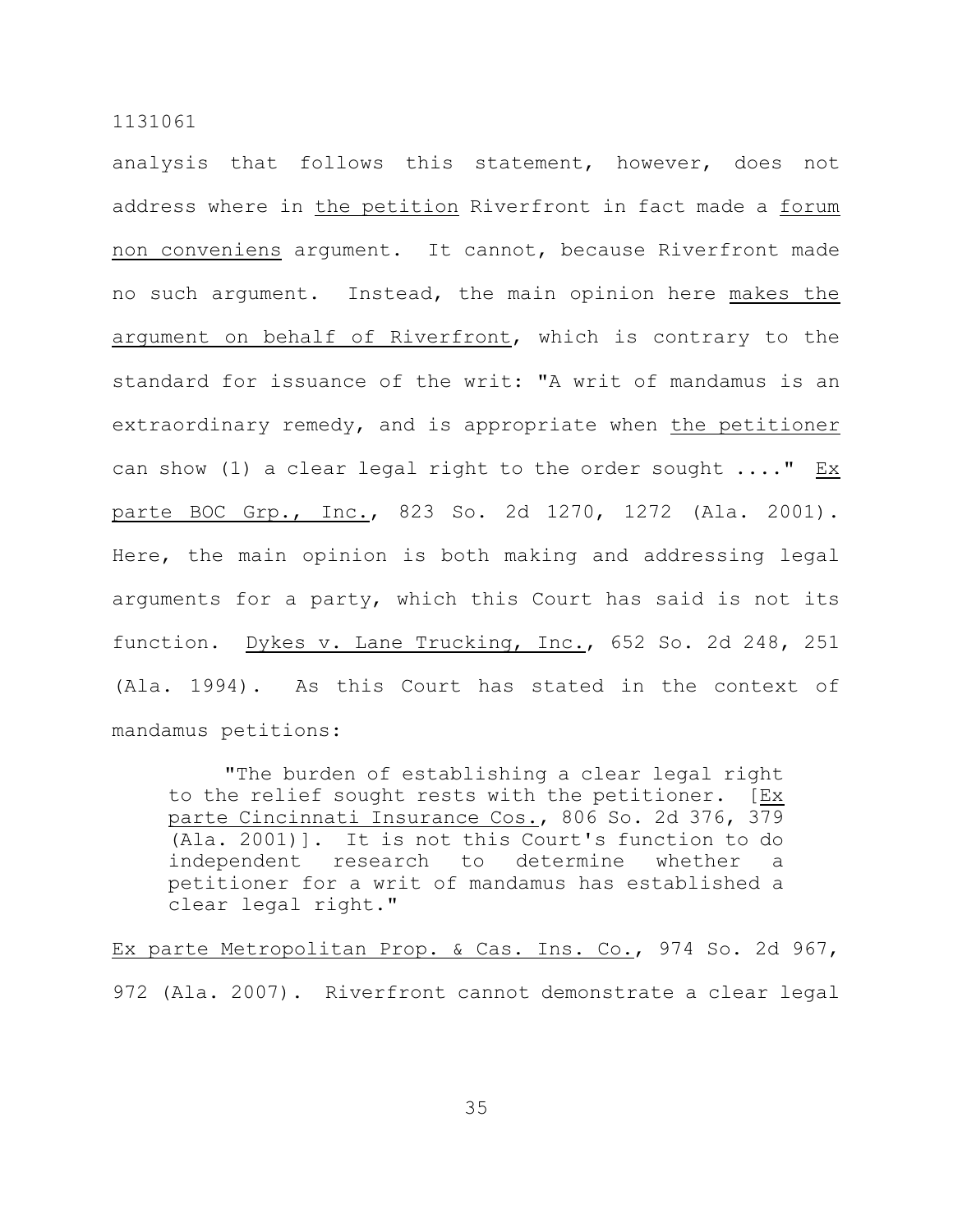analysis that follows this statement, however, does not address where in the petition Riverfront in fact made a forum non conveniens argument. It cannot, because Riverfront made no such argument. Instead, the main opinion here makes the argument on behalf of Riverfront, which is contrary to the standard for issuance of the writ: "A writ of mandamus is an extraordinary remedy, and is appropriate when the petitioner can show (1) a clear legal right to the order sought ...." Ex parte BOC Grp., Inc., 823 So. 2d 1270, 1272 (Ala. 2001). Here, the main opinion is both making and addressing legal arguments for a party, which this Court has said is not its function. Dykes v. Lane Trucking, Inc., 652 So. 2d 248, 251 (Ala. 1994). As this Court has stated in the context of mandamus petitions:

"The burden of establishing a clear legal right to the relief sought rests with the petitioner. [Ex parte Cincinnati Insurance Cos., 806 So. 2d 376, 379 (Ala. 2001)]. It is not this Court's function to do independent research to determine whether a petitioner for a writ of mandamus has established a clear legal right."

Ex parte Metropolitan Prop. & Cas. Ins. Co., 974 So. 2d 967, 972 (Ala. 2007). Riverfront cannot demonstrate a clear legal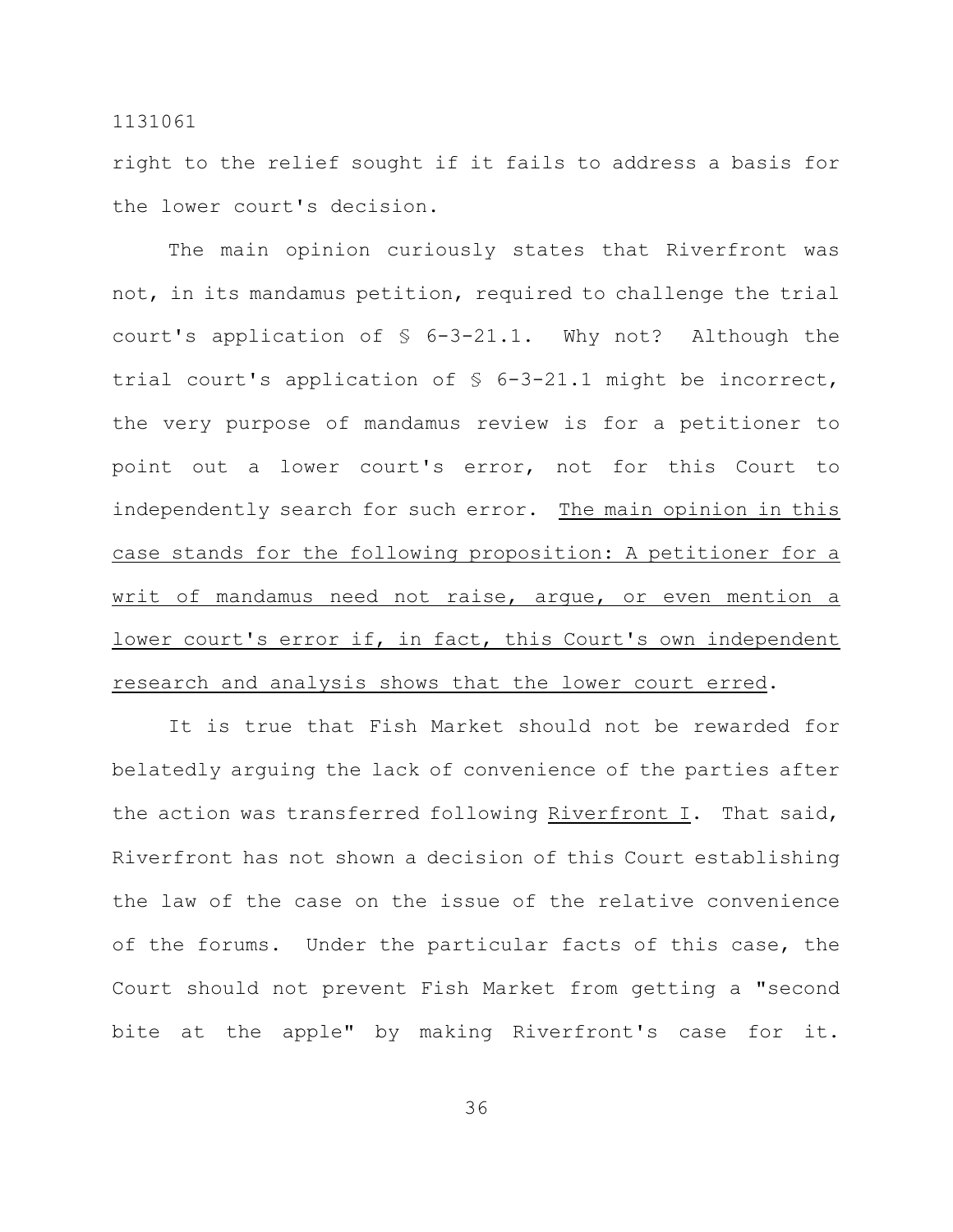right to the relief sought if it fails to address a basis for the lower court's decision.

The main opinion curiously states that Riverfront was not, in its mandamus petition, required to challenge the trial court's application of  $\S$  6-3-21.1. Why not? Although the trial court's application of § 6-3-21.1 might be incorrect, the very purpose of mandamus review is for a petitioner to point out a lower court's error, not for this Court to independently search for such error. The main opinion in this case stands for the following proposition: A petitioner for a writ of mandamus need not raise, arque, or even mention a lower court's error if, in fact, this Court's own independent research and analysis shows that the lower court erred.

It is true that Fish Market should not be rewarded for belatedly arguing the lack of convenience of the parties after the action was transferred following Riverfront I. That said, Riverfront has not shown a decision of this Court establishing the law of the case on the issue of the relative convenience of the forums. Under the particular facts of this case, the Court should not prevent Fish Market from getting a "second bite at the apple" by making Riverfront's case for it.